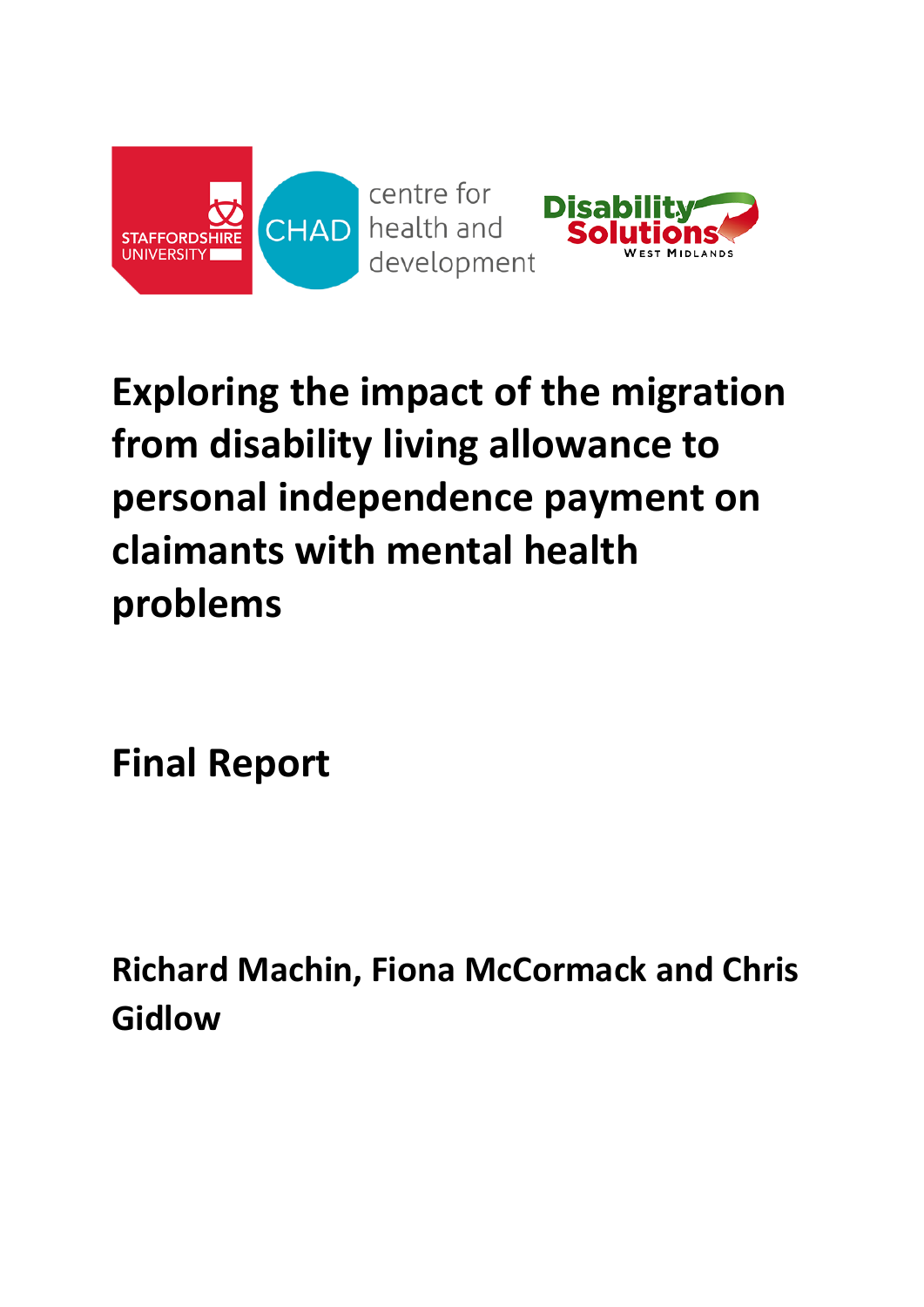

# **Exploring the impact of the migration from disability living allowance to personal independence payment on claimants with mental health problems**

**Final Report**

**Richard Machin, Fiona McCormack and Chris Gidlow**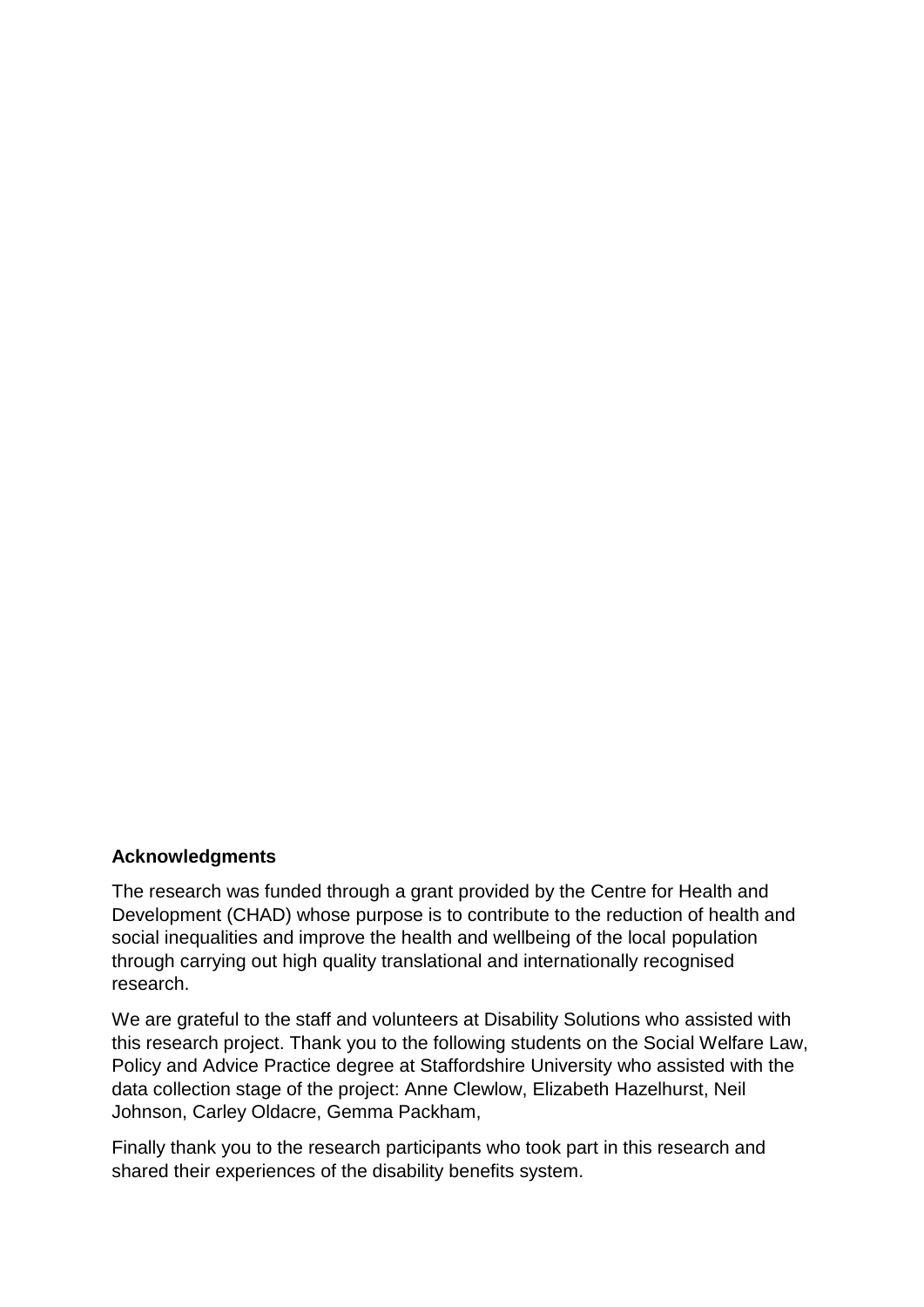#### **Acknowledgments**

The research was funded through a grant provided by the Centre for Health and Development (CHAD) whose purpose is to contribute to the reduction of health and social inequalities and improve the health and wellbeing of the local population through carrying out high quality translational and internationally recognised research.

We are grateful to the staff and volunteers at Disability Solutions who assisted with this research project. Thank you to the following students on the Social Welfare Law, Policy and Advice Practice degree at Staffordshire University who assisted with the data collection stage of the project: Anne Clewlow, Elizabeth Hazelhurst, Neil Johnson, Carley Oldacre, Gemma Packham,

Finally thank you to the research participants who took part in this research and shared their experiences of the disability benefits system.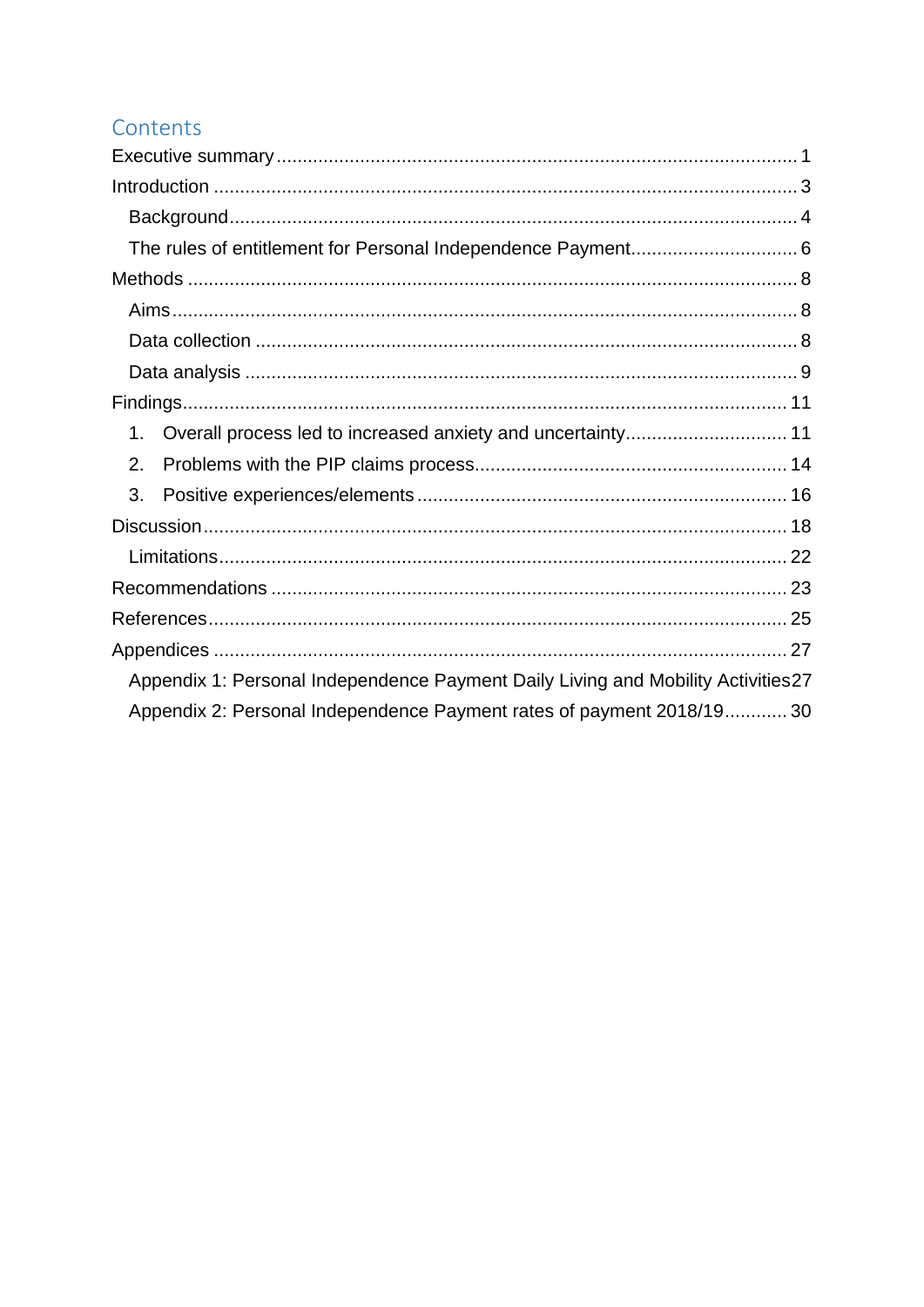# Contents

| 1.                                                                               |  |
|----------------------------------------------------------------------------------|--|
| 2.                                                                               |  |
| 3.                                                                               |  |
|                                                                                  |  |
|                                                                                  |  |
|                                                                                  |  |
|                                                                                  |  |
|                                                                                  |  |
| Appendix 1: Personal Independence Payment Daily Living and Mobility Activities27 |  |
| Appendix 2: Personal Independence Payment rates of payment 2018/19 30            |  |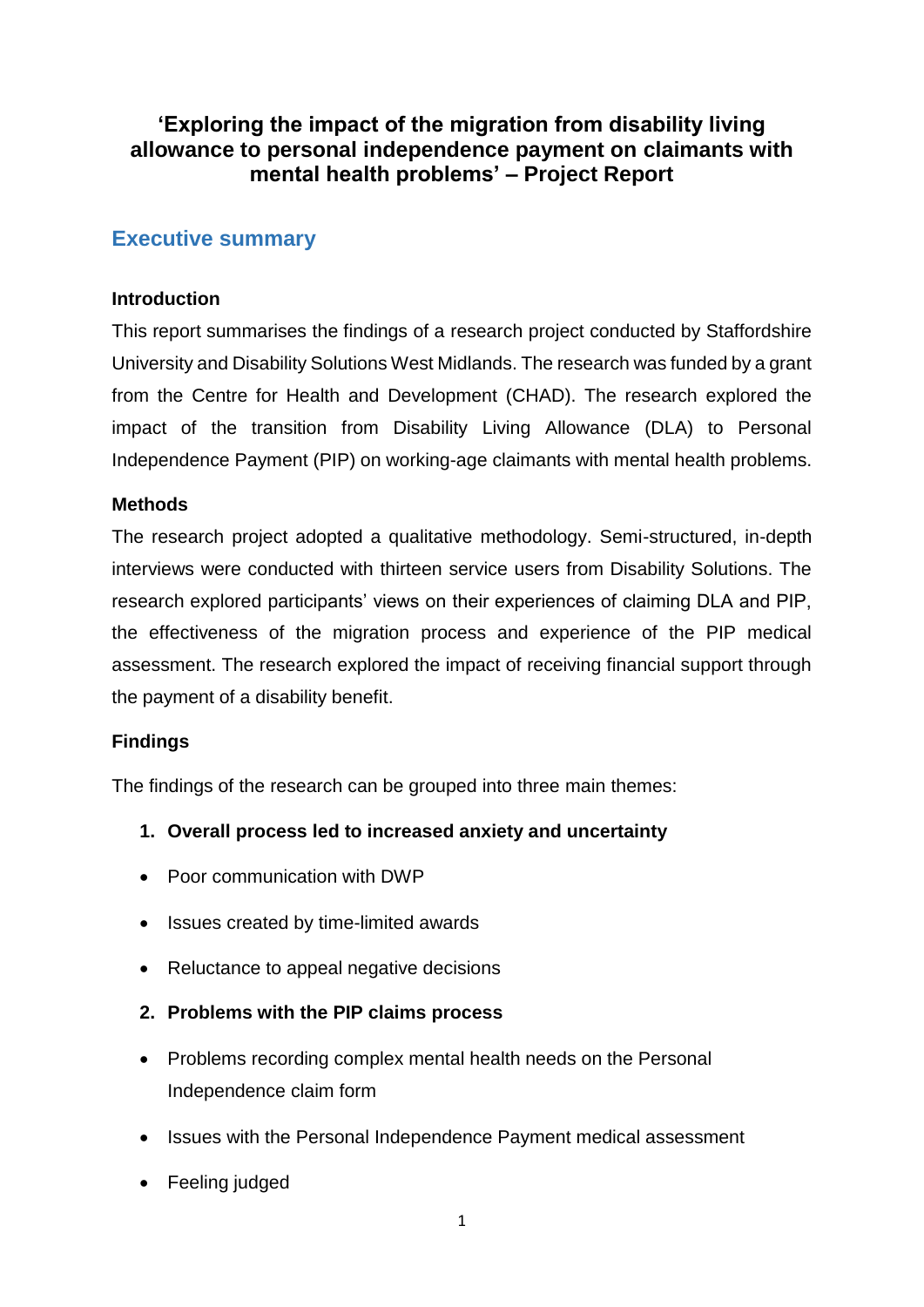# **'Exploring the impact of the migration from disability living allowance to personal independence payment on claimants with mental health problems' – Project Report**

## <span id="page-3-0"></span>**Executive summary**

## **Introduction**

This report summarises the findings of a research project conducted by Staffordshire University and Disability Solutions West Midlands. The research was funded by a grant from the Centre for Health and Development (CHAD). The research explored the impact of the transition from Disability Living Allowance (DLA) to Personal Independence Payment (PIP) on working-age claimants with mental health problems.

## **Methods**

The research project adopted a qualitative methodology. Semi-structured, in-depth interviews were conducted with thirteen service users from Disability Solutions. The research explored participants' views on their experiences of claiming DLA and PIP, the effectiveness of the migration process and experience of the PIP medical assessment. The research explored the impact of receiving financial support through the payment of a disability benefit.

## **Findings**

The findings of the research can be grouped into three main themes:

- **1. Overall process led to increased anxiety and uncertainty**
- Poor communication with DWP
- Issues created by time-limited awards
- Reluctance to appeal negative decisions
- **2. Problems with the PIP claims process**
- Problems recording complex mental health needs on the Personal Independence claim form
- Issues with the Personal Independence Payment medical assessment
- Feeling judged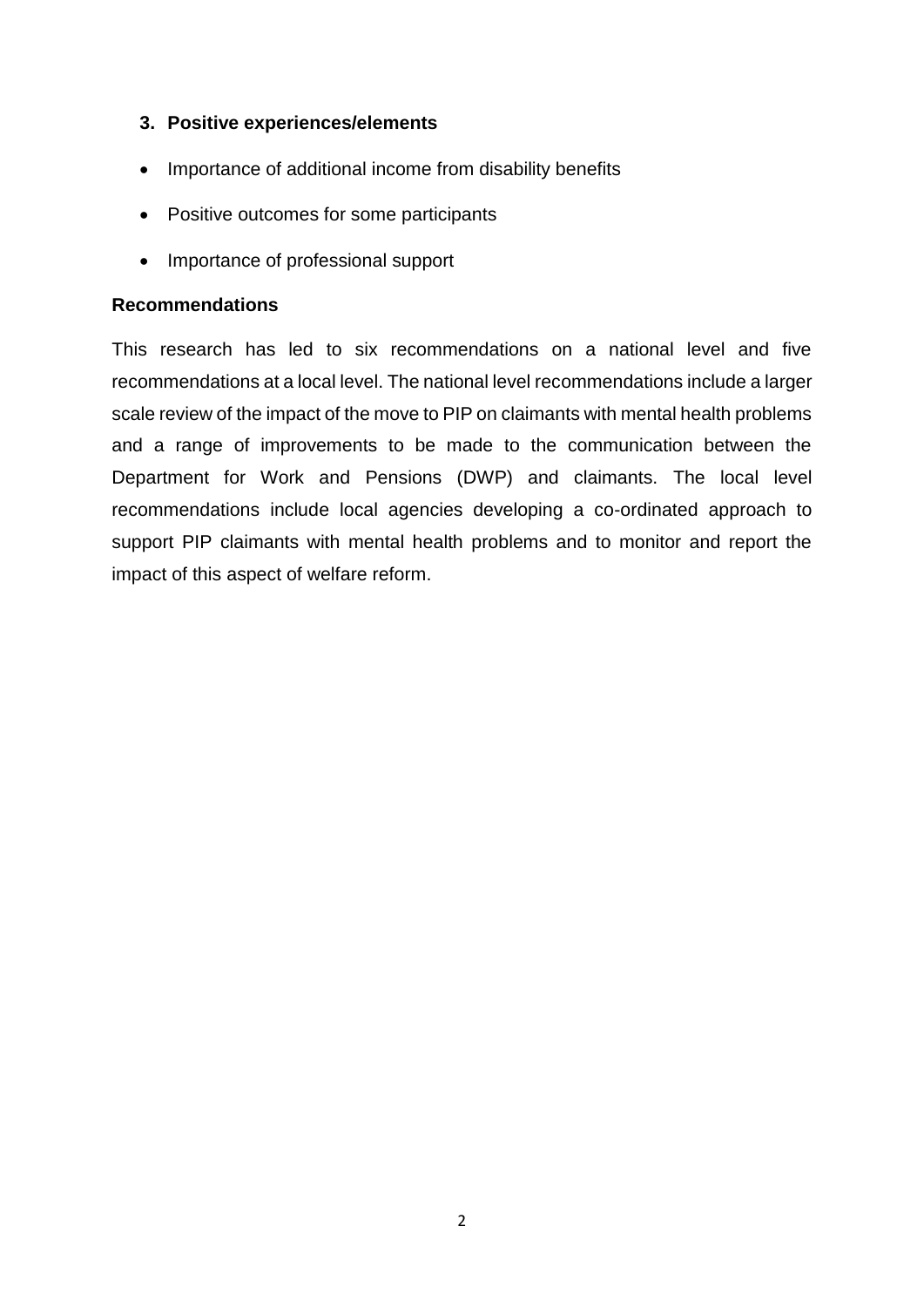## **3. Positive experiences/elements**

- Importance of additional income from disability benefits
- Positive outcomes for some participants
- Importance of professional support

#### **Recommendations**

This research has led to six recommendations on a national level and five recommendations at a local level. The national level recommendations include a larger scale review of the impact of the move to PIP on claimants with mental health problems and a range of improvements to be made to the communication between the Department for Work and Pensions (DWP) and claimants. The local level recommendations include local agencies developing a co-ordinated approach to support PIP claimants with mental health problems and to monitor and report the impact of this aspect of welfare reform.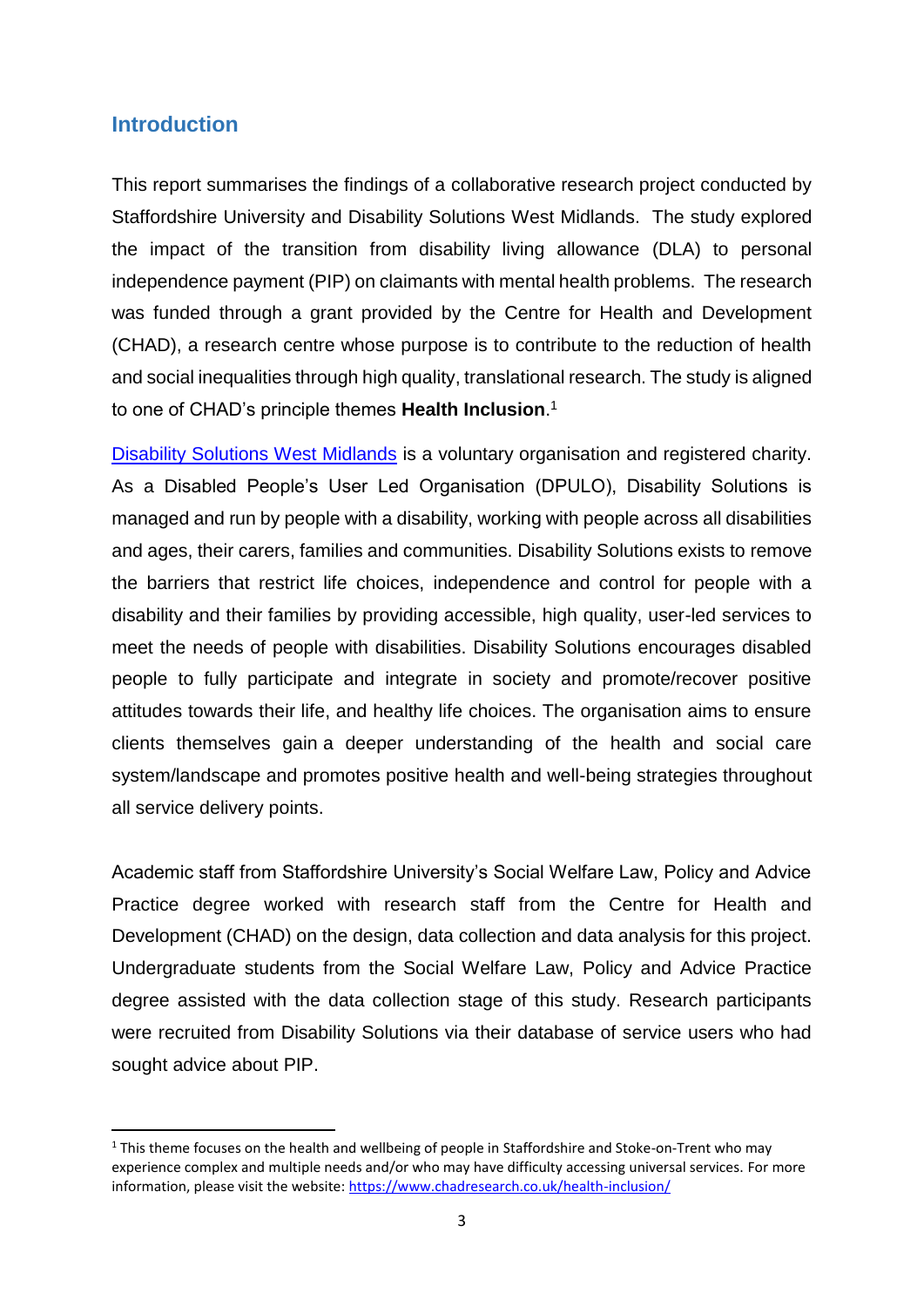## <span id="page-5-0"></span>**Introduction**

**.** 

This report summarises the findings of a collaborative research project conducted by Staffordshire University and Disability Solutions West Midlands. The study explored the impact of the transition from disability living allowance (DLA) to personal independence payment (PIP) on claimants with mental health problems. The research was funded through a grant provided by the Centre for Health and Development (CHAD), a research centre whose purpose is to contribute to the reduction of health and social inequalities through high quality, translational research. The study is aligned to one of CHAD's principle themes **Health Inclusion**. 1

[Disability Solutions West Midlands](https://disabilitysolutions.org.uk/) is a voluntary organisation and registered charity. As a Disabled People's User Led Organisation (DPULO), Disability Solutions is managed and run by people with a disability, working with people across all disabilities and ages, their carers, families and communities. Disability Solutions exists to remove the barriers that restrict life choices, independence and control for people with a disability and their families by providing accessible, high quality, user-led services to meet the needs of people with disabilities. Disability Solutions encourages disabled people to fully participate and integrate in society and promote/recover positive attitudes towards their life, and healthy life choices. The organisation aims to ensure clients themselves gain a deeper understanding of the health and social care system/landscape and promotes positive health and well-being strategies throughout all service delivery points.

Academic staff from Staffordshire University's Social Welfare Law, Policy and Advice Practice degree worked with research staff from the Centre for Health and Development (CHAD) on the design, data collection and data analysis for this project. Undergraduate students from the Social Welfare Law, Policy and Advice Practice degree assisted with the data collection stage of this study. Research participants were recruited from Disability Solutions via their database of service users who had sought advice about PIP.

 $1$  This theme focuses on the health and wellbeing of people in Staffordshire and Stoke-on-Trent who may experience complex and multiple needs and/or who may have difficulty accessing universal services. For more information, please visit the website:<https://www.chadresearch.co.uk/health-inclusion/>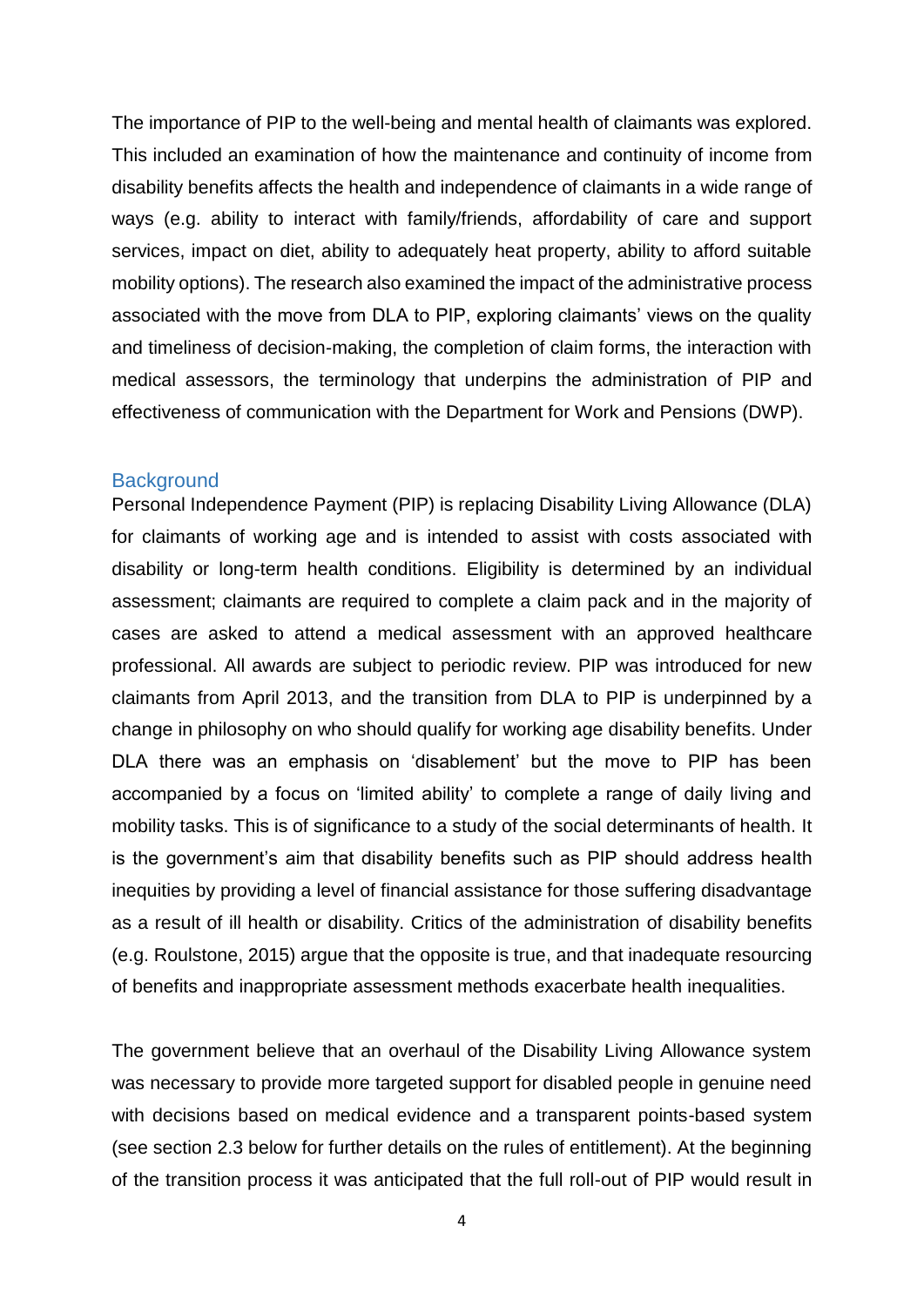The importance of PIP to the well-being and mental health of claimants was explored. This included an examination of how the maintenance and continuity of income from disability benefits affects the health and independence of claimants in a wide range of ways (e.g. ability to interact with family/friends, affordability of care and support services, impact on diet, ability to adequately heat property, ability to afford suitable mobility options). The research also examined the impact of the administrative process associated with the move from DLA to PIP, exploring claimants' views on the quality and timeliness of decision-making, the completion of claim forms, the interaction with medical assessors, the terminology that underpins the administration of PIP and effectiveness of communication with the Department for Work and Pensions (DWP).

#### <span id="page-6-0"></span>**Background**

Personal Independence Payment (PIP) is replacing Disability Living Allowance (DLA) for claimants of working age and is intended to assist with costs associated with disability or long-term health conditions. Eligibility is determined by an individual assessment; claimants are required to complete a claim pack and in the majority of cases are asked to attend a medical assessment with an approved healthcare professional. All awards are subject to periodic review. PIP was introduced for new claimants from April 2013, and the transition from DLA to PIP is underpinned by a change in philosophy on who should qualify for working age disability benefits. Under DLA there was an emphasis on 'disablement' but the move to PIP has been accompanied by a focus on 'limited ability' to complete a range of daily living and mobility tasks. This is of significance to a study of the social determinants of health. It is the government's aim that disability benefits such as PIP should address health inequities by providing a level of financial assistance for those suffering disadvantage as a result of ill health or disability. Critics of the administration of disability benefits (e.g. Roulstone, 2015) argue that the opposite is true, and that inadequate resourcing of benefits and inappropriate assessment methods exacerbate health inequalities.

The government believe that an overhaul of the Disability Living Allowance system was necessary to provide more targeted support for disabled people in genuine need with decisions based on medical evidence and a transparent points-based system (see section 2.3 below for further details on the rules of entitlement). At the beginning of the transition process it was anticipated that the full roll-out of PIP would result in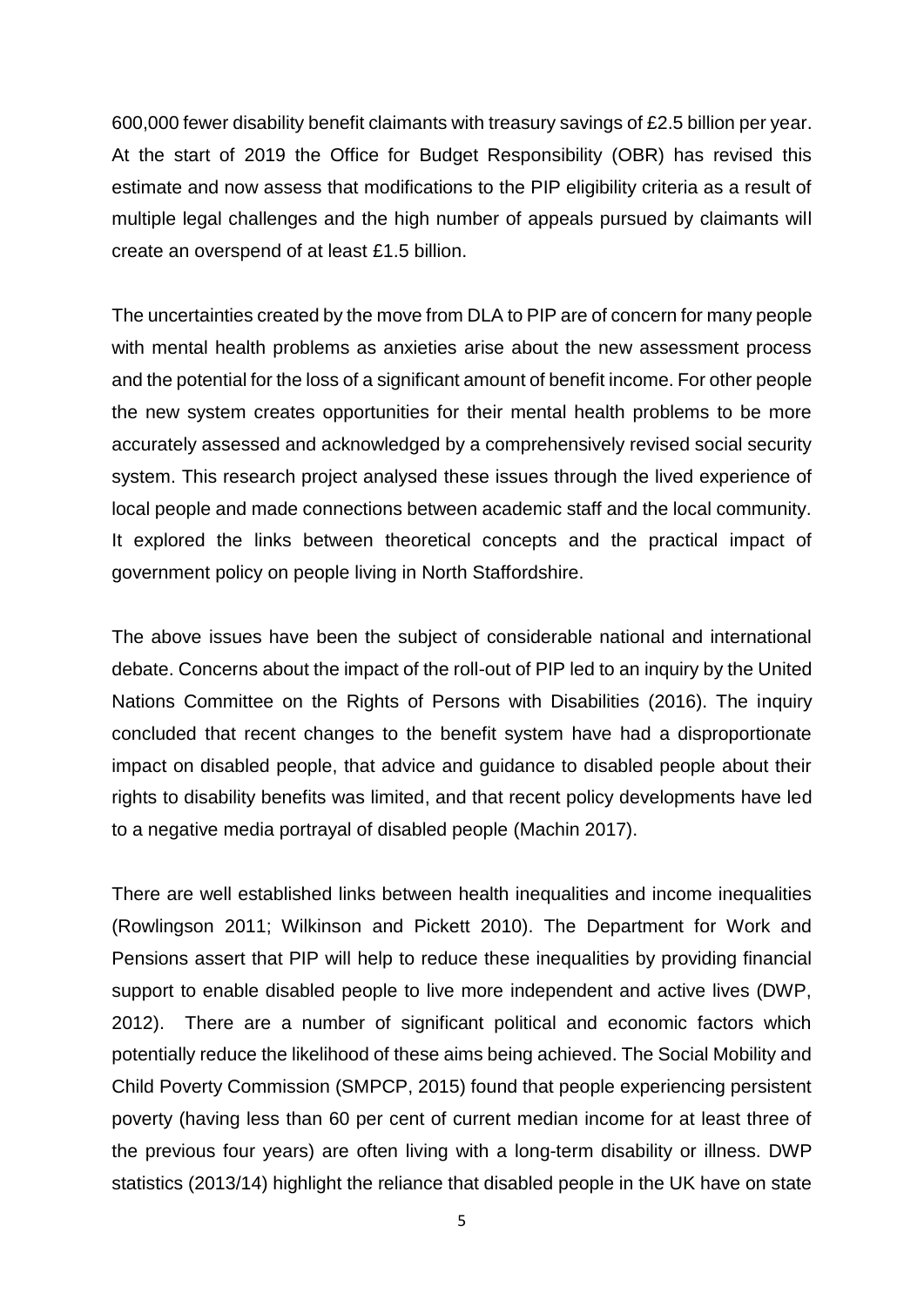600,000 fewer disability benefit claimants with treasury savings of £2.5 billion per year. At the start of 2019 the Office for Budget Responsibility (OBR) has revised this estimate and now assess that modifications to the PIP eligibility criteria as a result of multiple legal challenges and the high number of appeals pursued by claimants will create an overspend of at least £1.5 billion.

The uncertainties created by the move from DLA to PIP are of concern for many people with mental health problems as anxieties arise about the new assessment process and the potential for the loss of a significant amount of benefit income. For other people the new system creates opportunities for their mental health problems to be more accurately assessed and acknowledged by a comprehensively revised social security system. This research project analysed these issues through the lived experience of local people and made connections between academic staff and the local community. It explored the links between theoretical concepts and the practical impact of government policy on people living in North Staffordshire.

The above issues have been the subject of considerable national and international debate. Concerns about the impact of the roll-out of PIP led to an inquiry by the United Nations Committee on the Rights of Persons with Disabilities (2016). The inquiry concluded that recent changes to the benefit system have had a disproportionate impact on disabled people, that advice and guidance to disabled people about their rights to disability benefits was limited, and that recent policy developments have led to a negative media portrayal of disabled people (Machin 2017).

There are well established links between health inequalities and income inequalities (Rowlingson 2011; Wilkinson and Pickett 2010). The Department for Work and Pensions assert that PIP will help to reduce these inequalities by providing financial support to enable disabled people to live more independent and active lives (DWP, 2012). There are a number of significant political and economic factors which potentially reduce the likelihood of these aims being achieved. The Social Mobility and Child Poverty Commission (SMPCP, 2015) found that people experiencing persistent poverty (having less than 60 per cent of current median income for at least three of the previous four years) are often living with a long-term disability or illness. DWP statistics (2013/14) highlight the reliance that disabled people in the UK have on state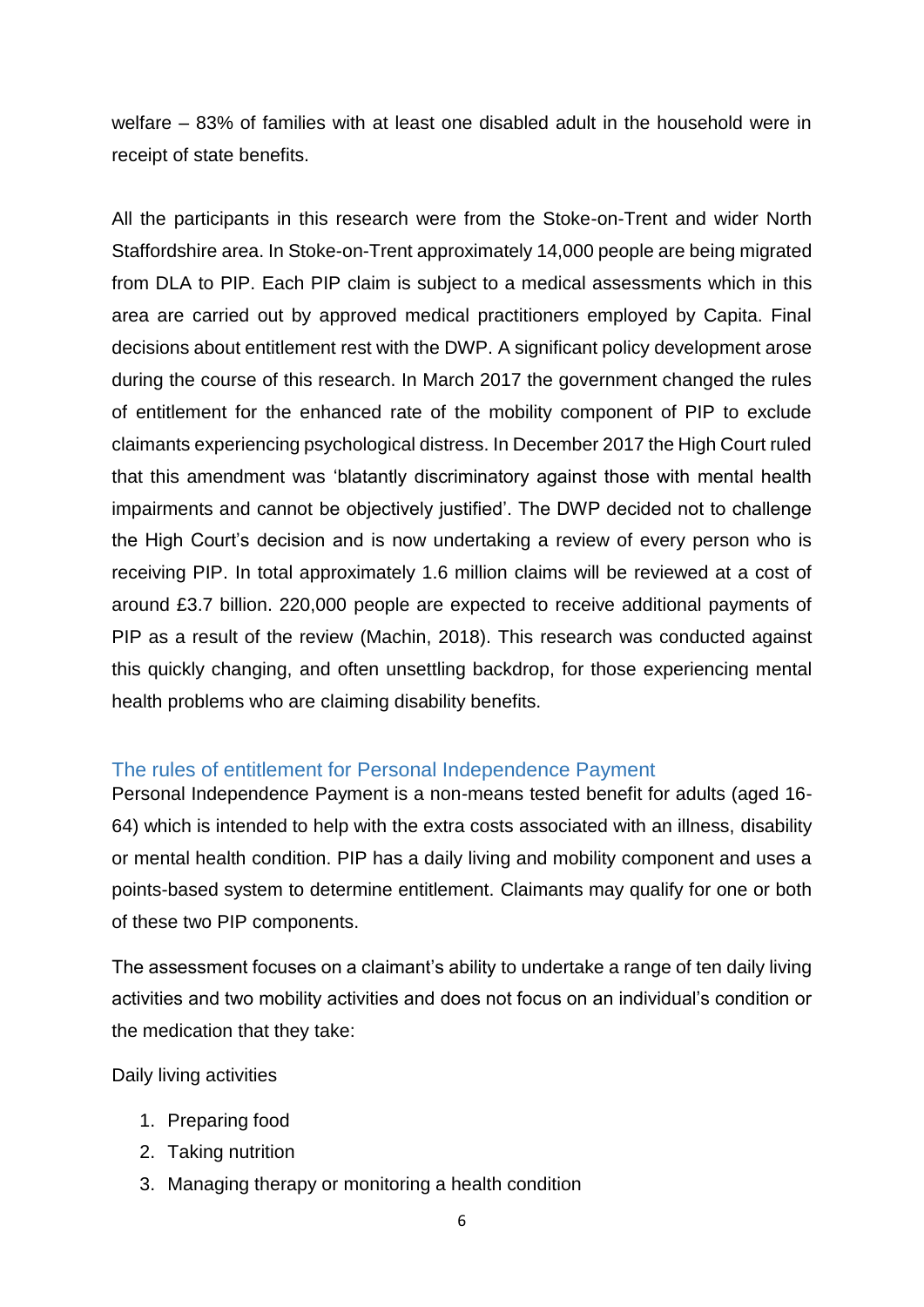welfare – 83% of families with at least one disabled adult in the household were in receipt of state benefits.

All the participants in this research were from the Stoke-on-Trent and wider North Staffordshire area. In Stoke-on-Trent approximately 14,000 people are being migrated from DLA to PIP. Each PIP claim is subject to a medical assessments which in this area are carried out by approved medical practitioners employed by Capita. Final decisions about entitlement rest with the DWP. A significant policy development arose during the course of this research. In March 2017 the government changed the rules of entitlement for the enhanced rate of the mobility component of PIP to exclude claimants experiencing psychological distress. In December 2017 the High Court ruled that this amendment was 'blatantly discriminatory against those with mental health impairments and cannot be objectively justified'. The DWP decided not to challenge the High Court's decision and is now undertaking a review of every person who is receiving PIP. In total approximately 1.6 million claims will be reviewed at a cost of around £3.7 billion. 220,000 people are expected to receive additional payments of PIP as a result of the review (Machin, 2018). This research was conducted against this quickly changing, and often unsettling backdrop, for those experiencing mental health problems who are claiming disability benefits.

#### <span id="page-8-0"></span>The rules of entitlement for Personal Independence Payment

Personal Independence Payment is a non-means tested benefit for adults (aged 16- 64) which is intended to help with the extra costs associated with an illness, disability or mental health condition. PIP has a daily living and mobility component and uses a points-based system to determine entitlement. Claimants may qualify for one or both of these two PIP components.

The assessment focuses on a claimant's ability to undertake a range of ten daily living activities and two mobility activities and does not focus on an individual's condition or the medication that they take:

Daily living activities

- 1. Preparing food
- 2. Taking nutrition
- 3. Managing therapy or monitoring a health condition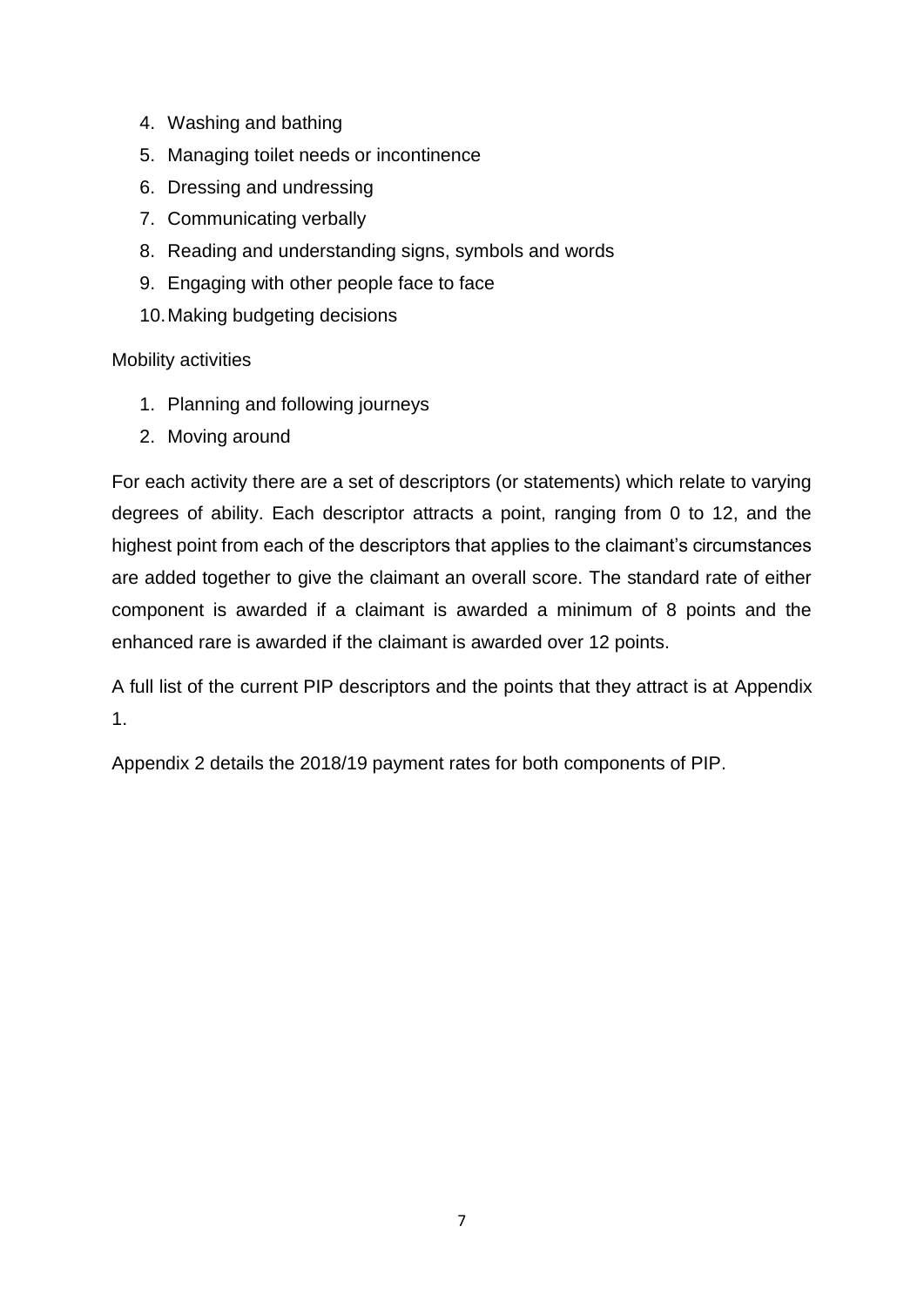- 4. Washing and bathing
- 5. Managing toilet needs or incontinence
- 6. Dressing and undressing
- 7. Communicating verbally
- 8. Reading and understanding signs, symbols and words
- 9. Engaging with other people face to face
- 10.Making budgeting decisions

Mobility activities

- 1. Planning and following journeys
- 2. Moving around

For each activity there are a set of descriptors (or statements) which relate to varying degrees of ability. Each descriptor attracts a point, ranging from 0 to 12, and the highest point from each of the descriptors that applies to the claimant's circumstances are added together to give the claimant an overall score. The standard rate of either component is awarded if a claimant is awarded a minimum of 8 points and the enhanced rare is awarded if the claimant is awarded over 12 points.

A full list of the current PIP descriptors and the points that they attract is at Appendix 1.

Appendix 2 details the 2018/19 payment rates for both components of PIP.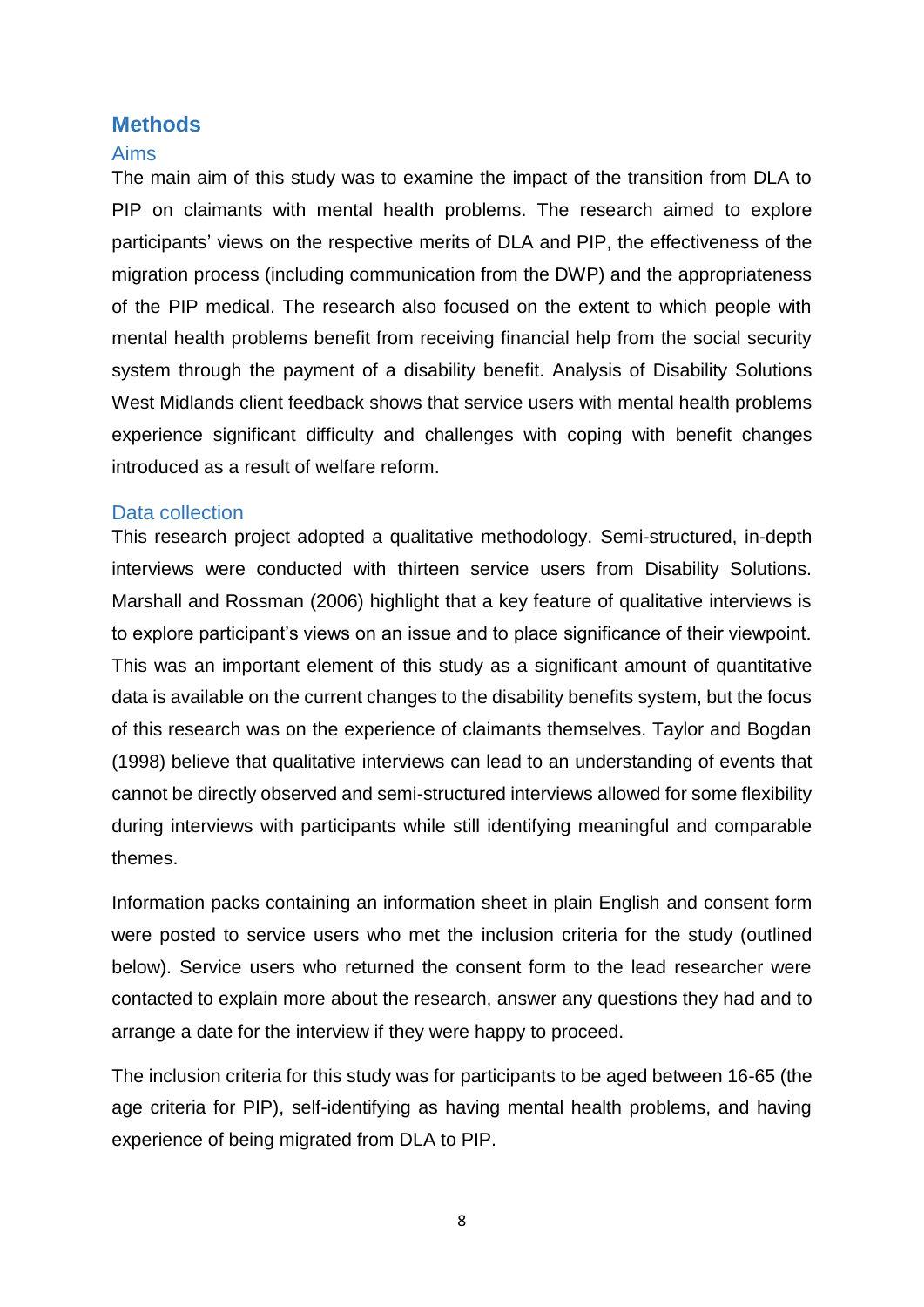## <span id="page-10-0"></span>**Methods**

#### <span id="page-10-1"></span>Aims

The main aim of this study was to examine the impact of the transition from DLA to PIP on claimants with mental health problems. The research aimed to explore participants' views on the respective merits of DLA and PIP, the effectiveness of the migration process (including communication from the DWP) and the appropriateness of the PIP medical. The research also focused on the extent to which people with mental health problems benefit from receiving financial help from the social security system through the payment of a disability benefit. Analysis of Disability Solutions West Midlands client feedback shows that service users with mental health problems experience significant difficulty and challenges with coping with benefit changes introduced as a result of welfare reform.

#### <span id="page-10-2"></span>Data collection

This research project adopted a qualitative methodology. Semi-structured, in-depth interviews were conducted with thirteen service users from Disability Solutions. Marshall and Rossman (2006) highlight that a key feature of qualitative interviews is to explore participant's views on an issue and to place significance of their viewpoint. This was an important element of this study as a significant amount of quantitative data is available on the current changes to the disability benefits system, but the focus of this research was on the experience of claimants themselves. Taylor and Bogdan (1998) believe that qualitative interviews can lead to an understanding of events that cannot be directly observed and semi-structured interviews allowed for some flexibility during interviews with participants while still identifying meaningful and comparable themes.

Information packs containing an information sheet in plain English and consent form were posted to service users who met the inclusion criteria for the study (outlined below). Service users who returned the consent form to the lead researcher were contacted to explain more about the research, answer any questions they had and to arrange a date for the interview if they were happy to proceed.

The inclusion criteria for this study was for participants to be aged between 16-65 (the age criteria for PIP), self-identifying as having mental health problems, and having experience of being migrated from DLA to PIP.

8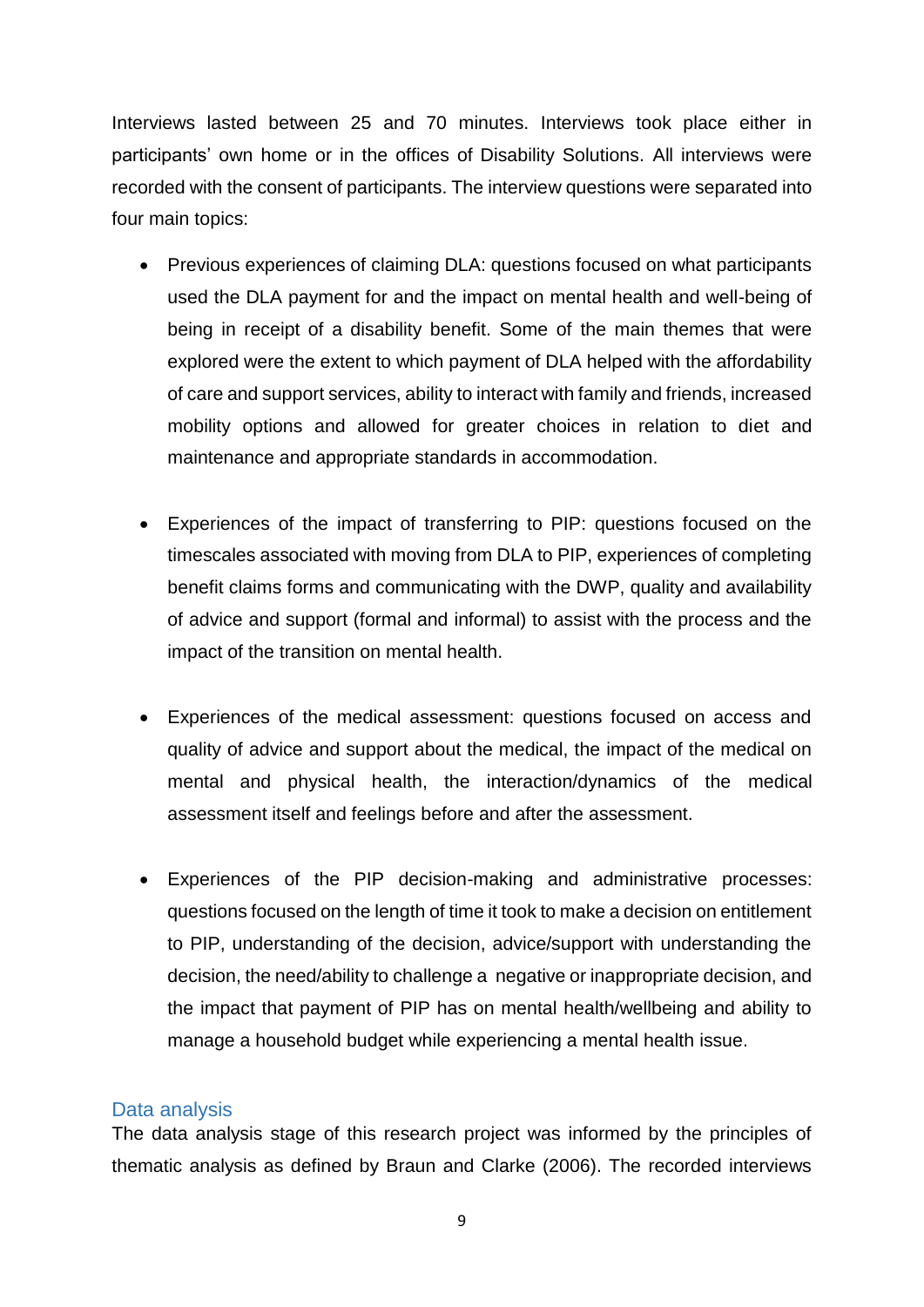Interviews lasted between 25 and 70 minutes. Interviews took place either in participants' own home or in the offices of Disability Solutions. All interviews were recorded with the consent of participants. The interview questions were separated into four main topics:

- Previous experiences of claiming DLA: questions focused on what participants used the DLA payment for and the impact on mental health and well-being of being in receipt of a disability benefit. Some of the main themes that were explored were the extent to which payment of DLA helped with the affordability of care and support services, ability to interact with family and friends, increased mobility options and allowed for greater choices in relation to diet and maintenance and appropriate standards in accommodation.
- Experiences of the impact of transferring to PIP: questions focused on the timescales associated with moving from DLA to PIP, experiences of completing benefit claims forms and communicating with the DWP, quality and availability of advice and support (formal and informal) to assist with the process and the impact of the transition on mental health.
- Experiences of the medical assessment: questions focused on access and quality of advice and support about the medical, the impact of the medical on mental and physical health, the interaction/dynamics of the medical assessment itself and feelings before and after the assessment.
- Experiences of the PIP decision-making and administrative processes: questions focused on the length of time it took to make a decision on entitlement to PIP, understanding of the decision, advice/support with understanding the decision, the need/ability to challenge a negative or inappropriate decision, and the impact that payment of PIP has on mental health/wellbeing and ability to manage a household budget while experiencing a mental health issue.

## <span id="page-11-0"></span>Data analysis

The data analysis stage of this research project was informed by the principles of thematic analysis as defined by Braun and Clarke (2006). The recorded interviews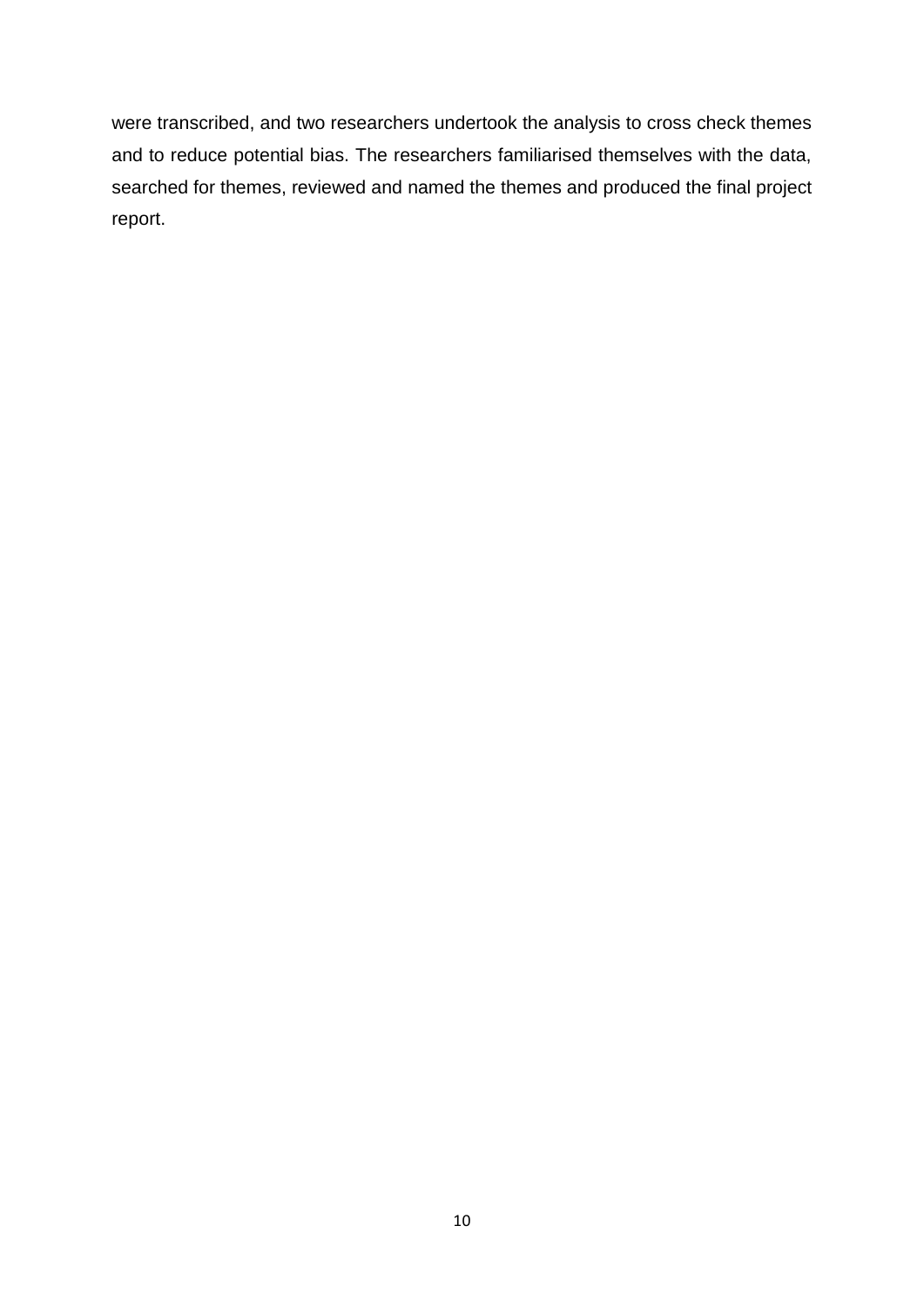were transcribed, and two researchers undertook the analysis to cross check themes and to reduce potential bias. The researchers familiarised themselves with the data, searched for themes, reviewed and named the themes and produced the final project report.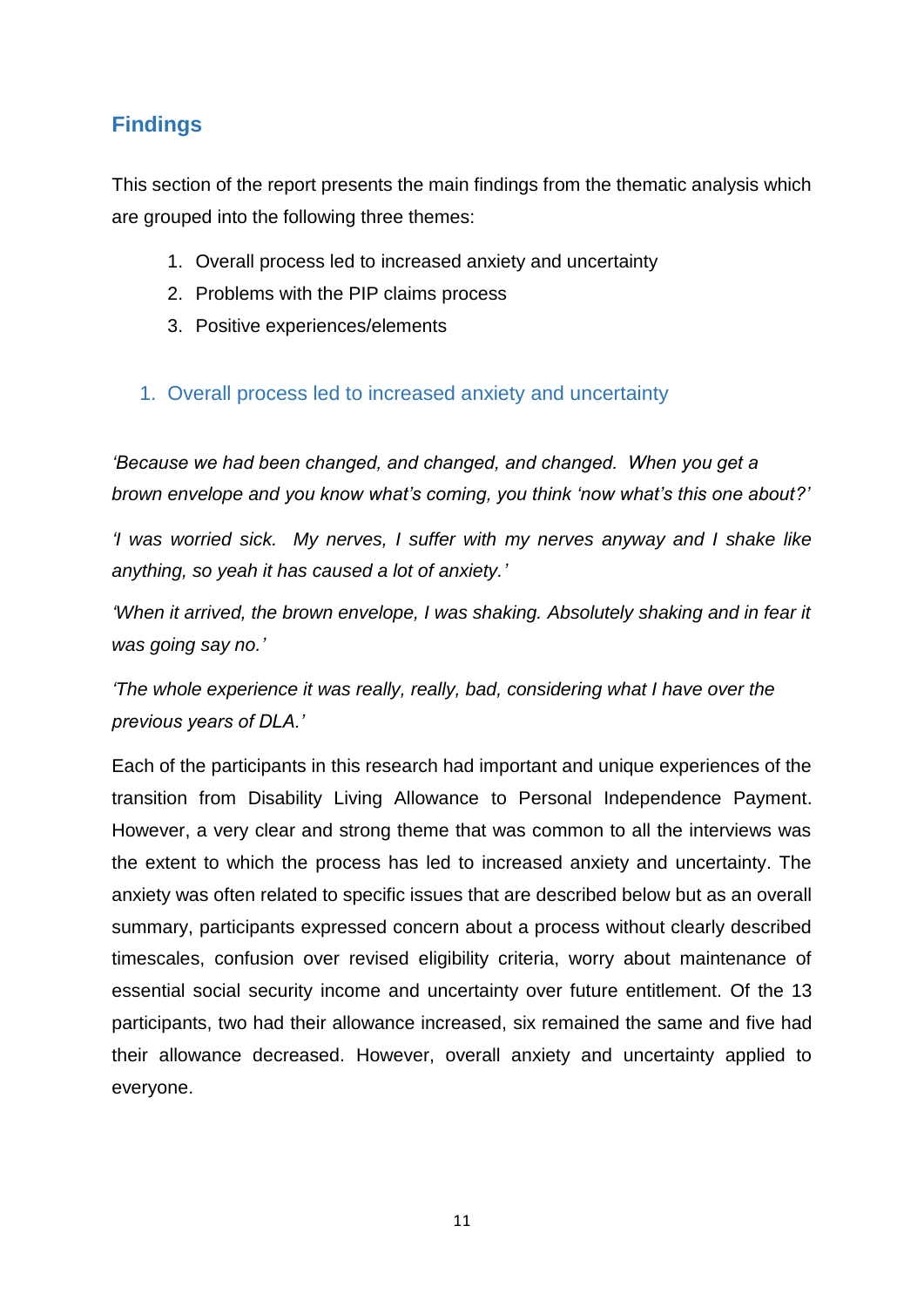# <span id="page-13-0"></span>**Findings**

This section of the report presents the main findings from the thematic analysis which are grouped into the following three themes:

- 1. Overall process led to increased anxiety and uncertainty
- 2. Problems with the PIP claims process
- 3. Positive experiences/elements

## <span id="page-13-1"></span>1. Overall process led to increased anxiety and uncertainty

*'Because we had been changed, and changed, and changed. When you get a brown envelope and you know what's coming, you think 'now what's this one about?'*

*'I was worried sick. My nerves, I suffer with my nerves anyway and I shake like anything, so yeah it has caused a lot of anxiety.'*

'When it arrived, the brown envelope, I was shaking. Absolutely shaking and in fear it *was going say no.'*

*'The whole experience it was really, really, bad, considering what I have over the previous years of DLA.'* 

Each of the participants in this research had important and unique experiences of the transition from Disability Living Allowance to Personal Independence Payment. However, a very clear and strong theme that was common to all the interviews was the extent to which the process has led to increased anxiety and uncertainty. The anxiety was often related to specific issues that are described below but as an overall summary, participants expressed concern about a process without clearly described timescales, confusion over revised eligibility criteria, worry about maintenance of essential social security income and uncertainty over future entitlement. Of the 13 participants, two had their allowance increased, six remained the same and five had their allowance decreased. However, overall anxiety and uncertainty applied to everyone.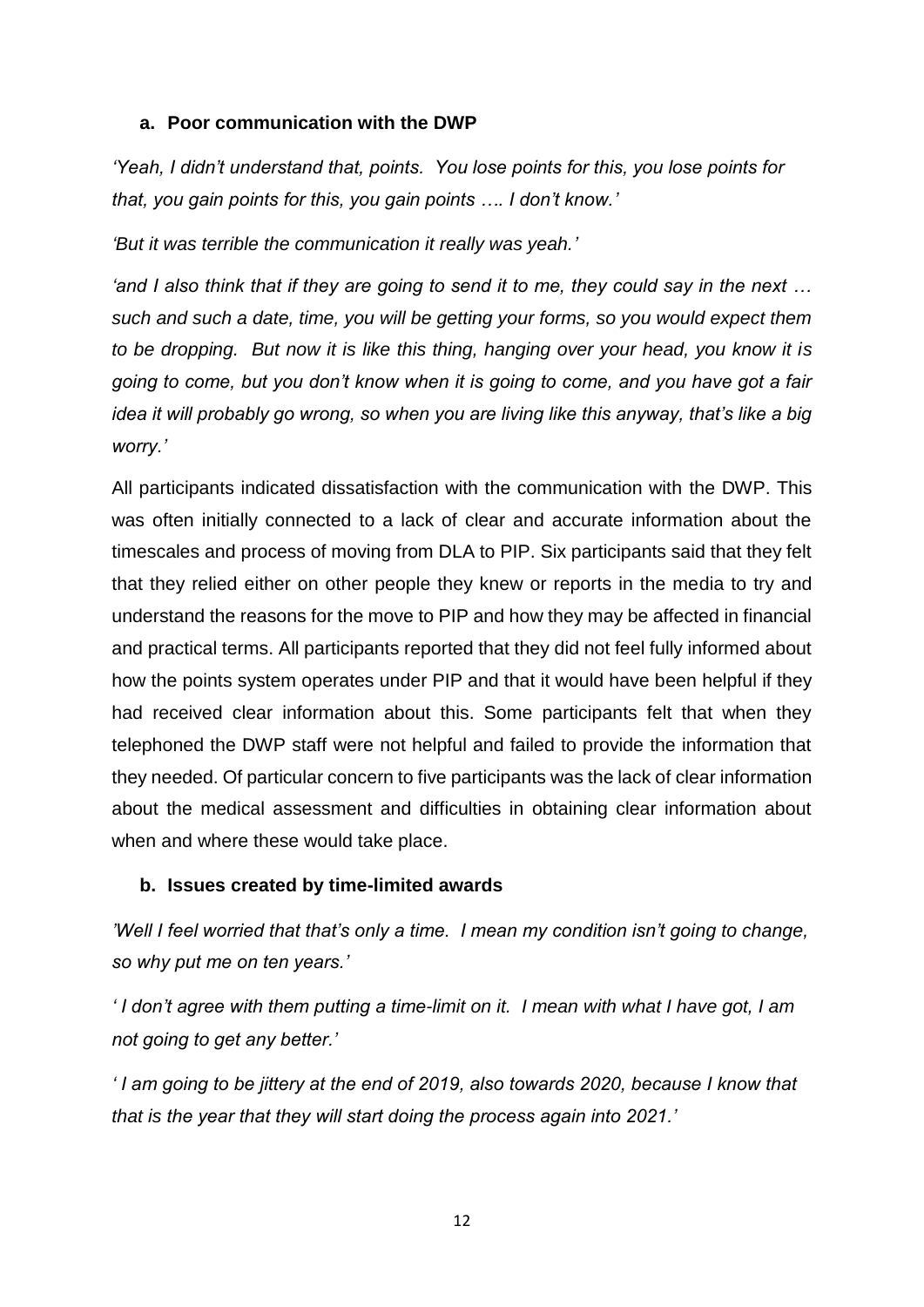#### **a. Poor communication with the DWP**

*'Yeah, I didn't understand that, points. You lose points for this, you lose points for that, you gain points for this, you gain points …. I don't know.'*

*'But it was terrible the communication it really was yeah.'*

*'and I also think that if they are going to send it to me, they could say in the next … such and such a date, time, you will be getting your forms, so you would expect them to be dropping. But now it is like this thing, hanging over your head, you know it is going to come, but you don't know when it is going to come, and you have got a fair idea it will probably go wrong, so when you are living like this anyway, that's like a big worry.'* 

All participants indicated dissatisfaction with the communication with the DWP. This was often initially connected to a lack of clear and accurate information about the timescales and process of moving from DLA to PIP. Six participants said that they felt that they relied either on other people they knew or reports in the media to try and understand the reasons for the move to PIP and how they may be affected in financial and practical terms. All participants reported that they did not feel fully informed about how the points system operates under PIP and that it would have been helpful if they had received clear information about this. Some participants felt that when they telephoned the DWP staff were not helpful and failed to provide the information that they needed. Of particular concern to five participants was the lack of clear information about the medical assessment and difficulties in obtaining clear information about when and where these would take place.

## **b. Issues created by time-limited awards**

*'Well I feel worried that that's only a time. I mean my condition isn't going to change, so why put me on ten years.'* 

*' I don't agree with them putting a time-limit on it. I mean with what I have got, I am not going to get any better.'*

*' I am going to be jittery at the end of 2019, also towards 2020, because I know that that is the year that they will start doing the process again into 2021.'*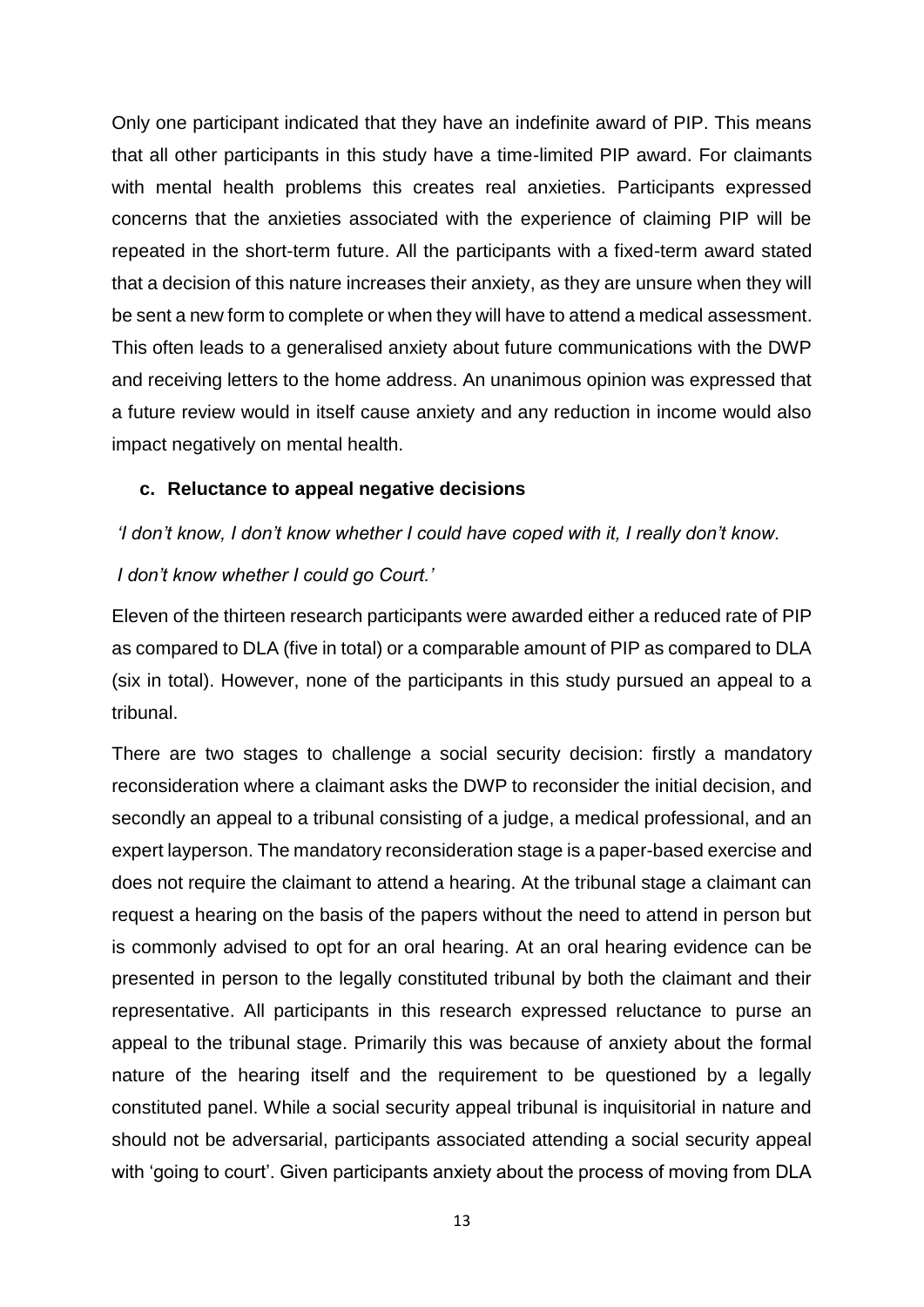Only one participant indicated that they have an indefinite award of PIP. This means that all other participants in this study have a time-limited PIP award. For claimants with mental health problems this creates real anxieties. Participants expressed concerns that the anxieties associated with the experience of claiming PIP will be repeated in the short-term future. All the participants with a fixed-term award stated that a decision of this nature increases their anxiety, as they are unsure when they will be sent a new form to complete or when they will have to attend a medical assessment. This often leads to a generalised anxiety about future communications with the DWP and receiving letters to the home address. An unanimous opinion was expressed that a future review would in itself cause anxiety and any reduction in income would also impact negatively on mental health.

#### **c. Reluctance to appeal negative decisions**

#### *'I don't know, I don't know whether I could have coped with it, I really don't know.*

#### *I don't know whether I could go Court.'*

Eleven of the thirteen research participants were awarded either a reduced rate of PIP as compared to DLA (five in total) or a comparable amount of PIP as compared to DLA (six in total). However, none of the participants in this study pursued an appeal to a tribunal.

There are two stages to challenge a social security decision: firstly a mandatory reconsideration where a claimant asks the DWP to reconsider the initial decision, and secondly an appeal to a tribunal consisting of a judge, a medical professional, and an expert layperson. The mandatory reconsideration stage is a paper-based exercise and does not require the claimant to attend a hearing. At the tribunal stage a claimant can request a hearing on the basis of the papers without the need to attend in person but is commonly advised to opt for an oral hearing. At an oral hearing evidence can be presented in person to the legally constituted tribunal by both the claimant and their representative. All participants in this research expressed reluctance to purse an appeal to the tribunal stage. Primarily this was because of anxiety about the formal nature of the hearing itself and the requirement to be questioned by a legally constituted panel. While a social security appeal tribunal is inquisitorial in nature and should not be adversarial, participants associated attending a social security appeal with 'going to court'. Given participants anxiety about the process of moving from DLA

13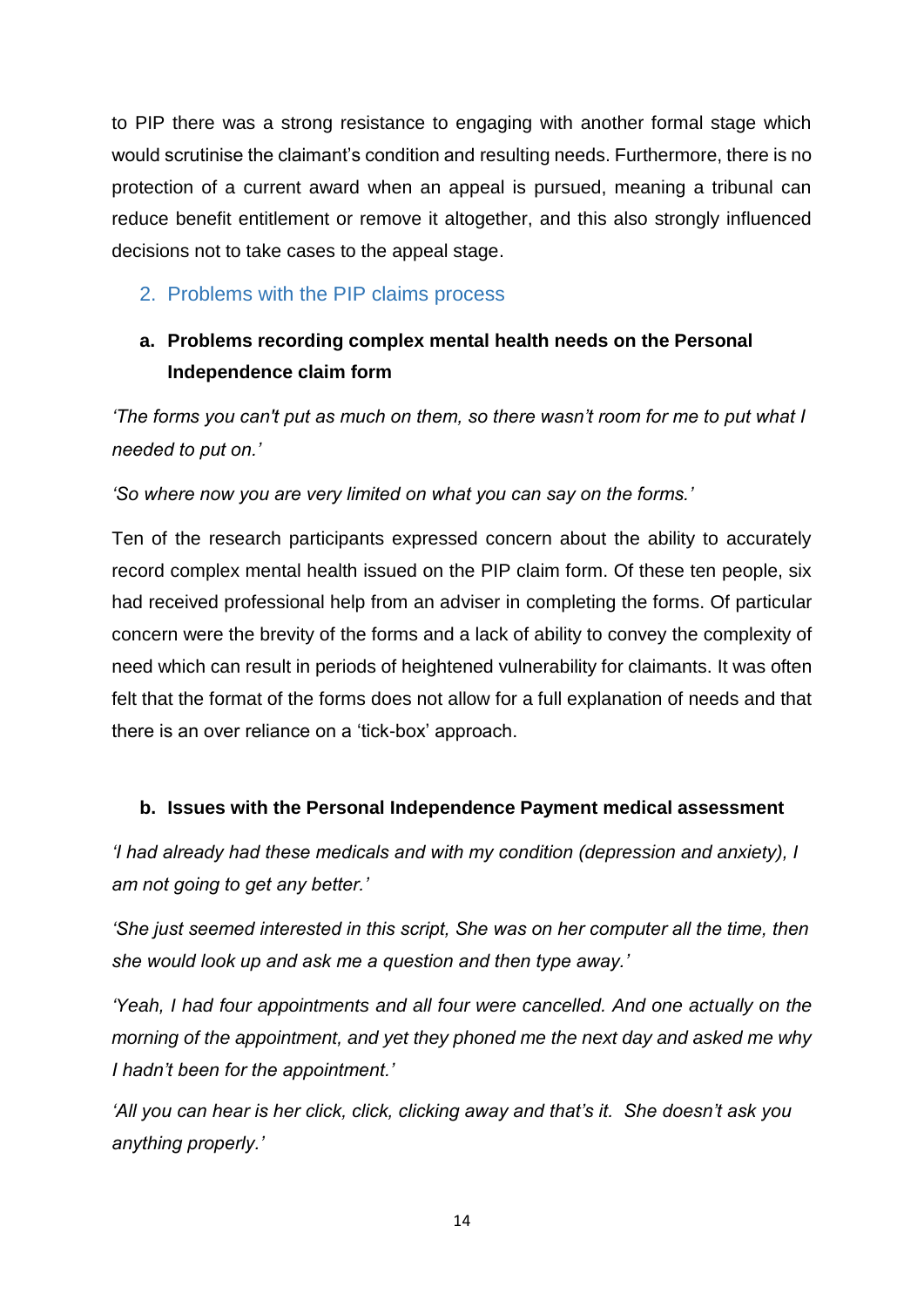to PIP there was a strong resistance to engaging with another formal stage which would scrutinise the claimant's condition and resulting needs. Furthermore, there is no protection of a current award when an appeal is pursued, meaning a tribunal can reduce benefit entitlement or remove it altogether, and this also strongly influenced decisions not to take cases to the appeal stage.

## <span id="page-16-0"></span>2. Problems with the PIP claims process

# **a. Problems recording complex mental health needs on the Personal Independence claim form**

*'The forms you can't put as much on them, so there wasn't room for me to put what I needed to put on.'*

*'So where now you are very limited on what you can say on the forms.'*

Ten of the research participants expressed concern about the ability to accurately record complex mental health issued on the PIP claim form. Of these ten people, six had received professional help from an adviser in completing the forms. Of particular concern were the brevity of the forms and a lack of ability to convey the complexity of need which can result in periods of heightened vulnerability for claimants. It was often felt that the format of the forms does not allow for a full explanation of needs and that there is an over reliance on a 'tick-box' approach.

## **b. Issues with the Personal Independence Payment medical assessment**

*'I had already had these medicals and with my condition (depression and anxiety), I am not going to get any better.'*

*'She just seemed interested in this script, She was on her computer all the time, then she would look up and ask me a question and then type away.'* 

*'Yeah, I had four appointments and all four were cancelled. And one actually on the morning of the appointment, and yet they phoned me the next day and asked me why I hadn't been for the appointment.'*

*'All you can hear is her click, click, clicking away and that's it. She doesn't ask you anything properly.'*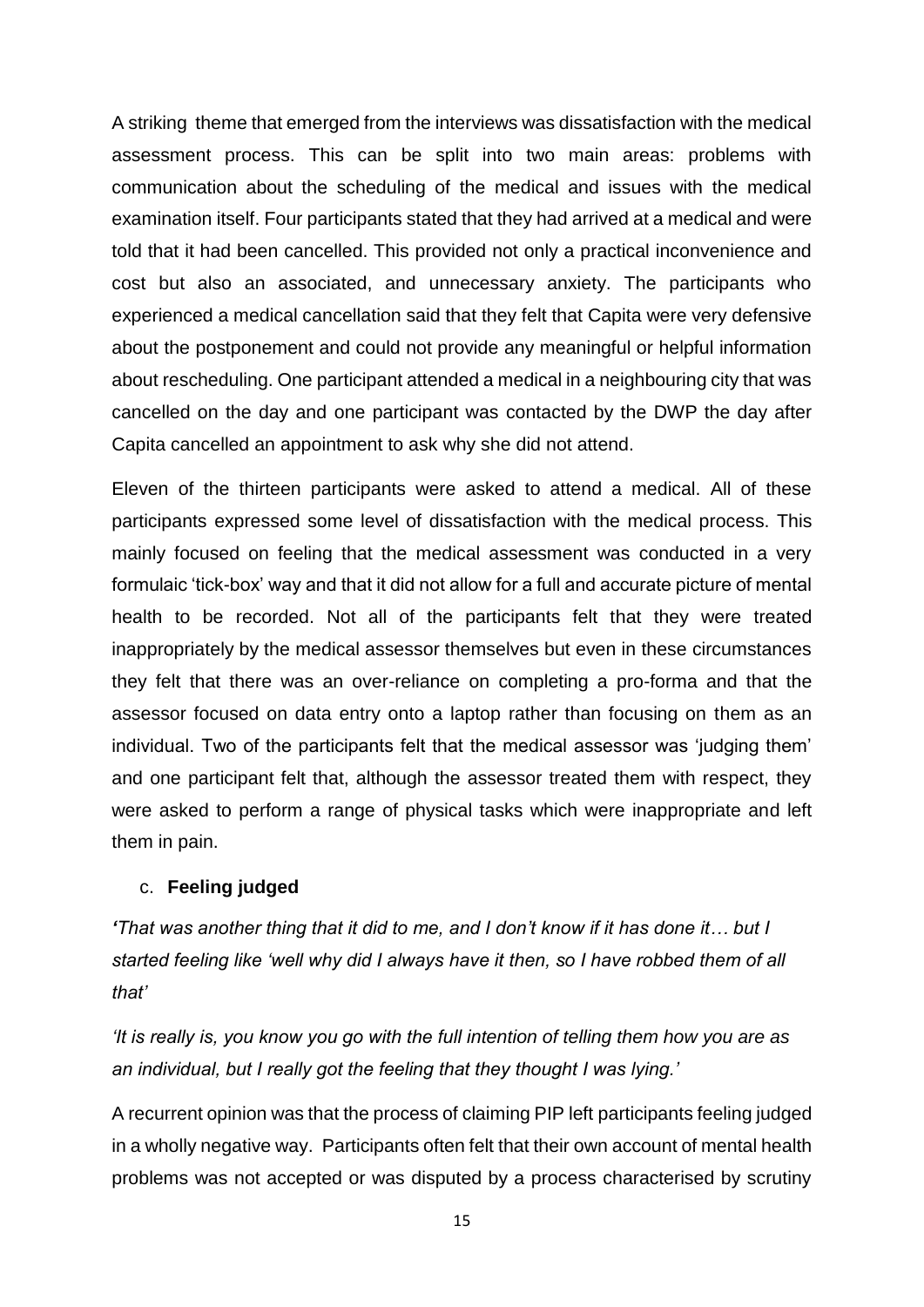A striking theme that emerged from the interviews was dissatisfaction with the medical assessment process. This can be split into two main areas: problems with communication about the scheduling of the medical and issues with the medical examination itself. Four participants stated that they had arrived at a medical and were told that it had been cancelled. This provided not only a practical inconvenience and cost but also an associated, and unnecessary anxiety. The participants who experienced a medical cancellation said that they felt that Capita were very defensive about the postponement and could not provide any meaningful or helpful information about rescheduling. One participant attended a medical in a neighbouring city that was cancelled on the day and one participant was contacted by the DWP the day after Capita cancelled an appointment to ask why she did not attend.

Eleven of the thirteen participants were asked to attend a medical. All of these participants expressed some level of dissatisfaction with the medical process. This mainly focused on feeling that the medical assessment was conducted in a very formulaic 'tick-box' way and that it did not allow for a full and accurate picture of mental health to be recorded. Not all of the participants felt that they were treated inappropriately by the medical assessor themselves but even in these circumstances they felt that there was an over-reliance on completing a pro-forma and that the assessor focused on data entry onto a laptop rather than focusing on them as an individual. Two of the participants felt that the medical assessor was 'judging them' and one participant felt that, although the assessor treated them with respect, they were asked to perform a range of physical tasks which were inappropriate and left them in pain.

#### c. **Feeling judged**

*'That was another thing that it did to me, and I don't know if it has done it… but I started feeling like 'well why did I always have it then, so I have robbed them of all that'*

*'It is really is, you know you go with the full intention of telling them how you are as an individual, but I really got the feeling that they thought I was lying.'* 

A recurrent opinion was that the process of claiming PIP left participants feeling judged in a wholly negative way. Participants often felt that their own account of mental health problems was not accepted or was disputed by a process characterised by scrutiny

15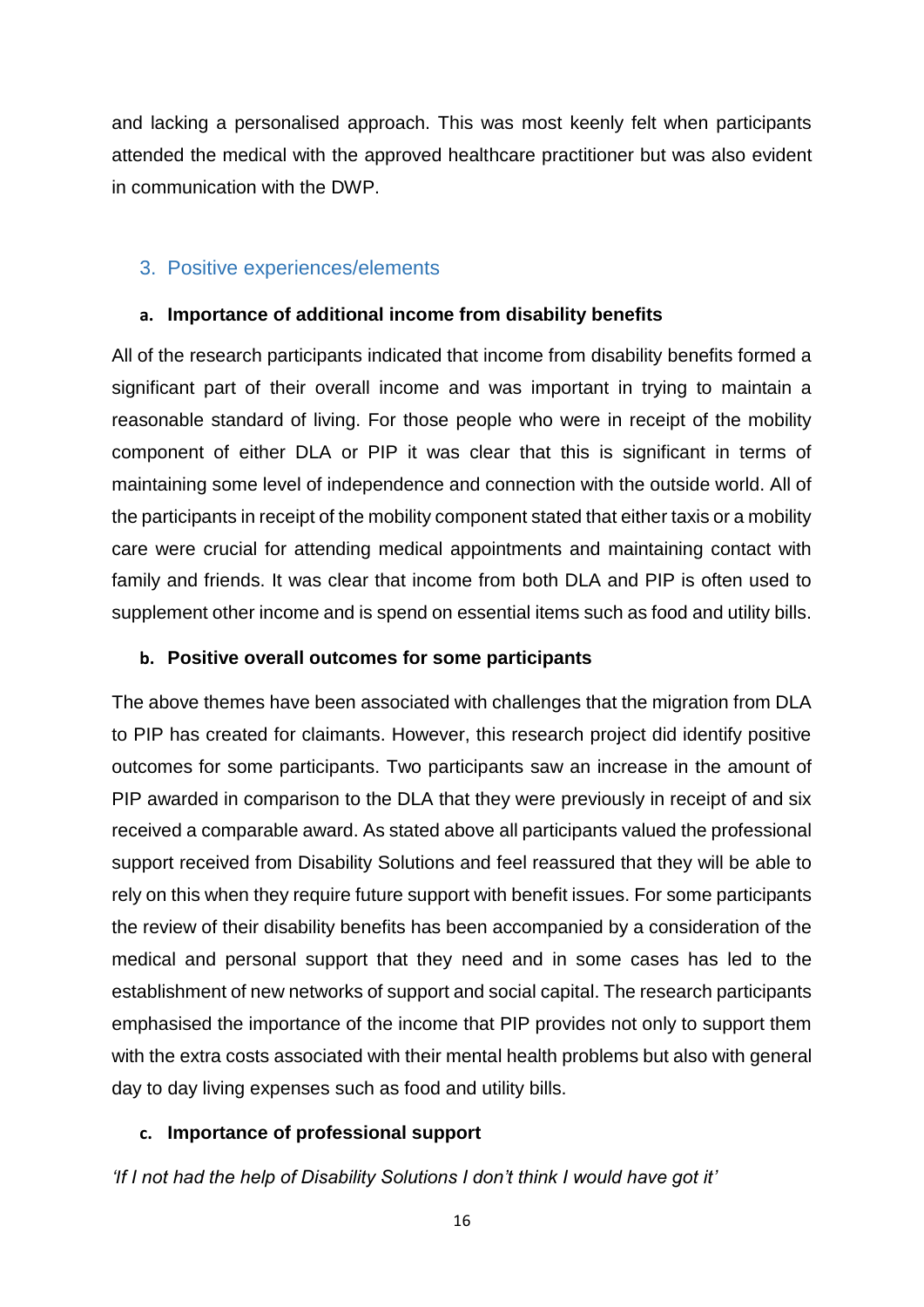and lacking a personalised approach. This was most keenly felt when participants attended the medical with the approved healthcare practitioner but was also evident in communication with the DWP.

## <span id="page-18-0"></span>3. Positive experiences/elements

#### **a. Importance of additional income from disability benefits**

All of the research participants indicated that income from disability benefits formed a significant part of their overall income and was important in trying to maintain a reasonable standard of living. For those people who were in receipt of the mobility component of either DLA or PIP it was clear that this is significant in terms of maintaining some level of independence and connection with the outside world. All of the participants in receipt of the mobility component stated that either taxis or a mobility care were crucial for attending medical appointments and maintaining contact with family and friends. It was clear that income from both DLA and PIP is often used to supplement other income and is spend on essential items such as food and utility bills.

#### **b. Positive overall outcomes for some participants**

The above themes have been associated with challenges that the migration from DLA to PIP has created for claimants. However, this research project did identify positive outcomes for some participants. Two participants saw an increase in the amount of PIP awarded in comparison to the DLA that they were previously in receipt of and six received a comparable award. As stated above all participants valued the professional support received from Disability Solutions and feel reassured that they will be able to rely on this when they require future support with benefit issues. For some participants the review of their disability benefits has been accompanied by a consideration of the medical and personal support that they need and in some cases has led to the establishment of new networks of support and social capital. The research participants emphasised the importance of the income that PIP provides not only to support them with the extra costs associated with their mental health problems but also with general day to day living expenses such as food and utility bills.

#### **c. Importance of professional support**

*'If I not had the help of Disability Solutions I don't think I would have got it'*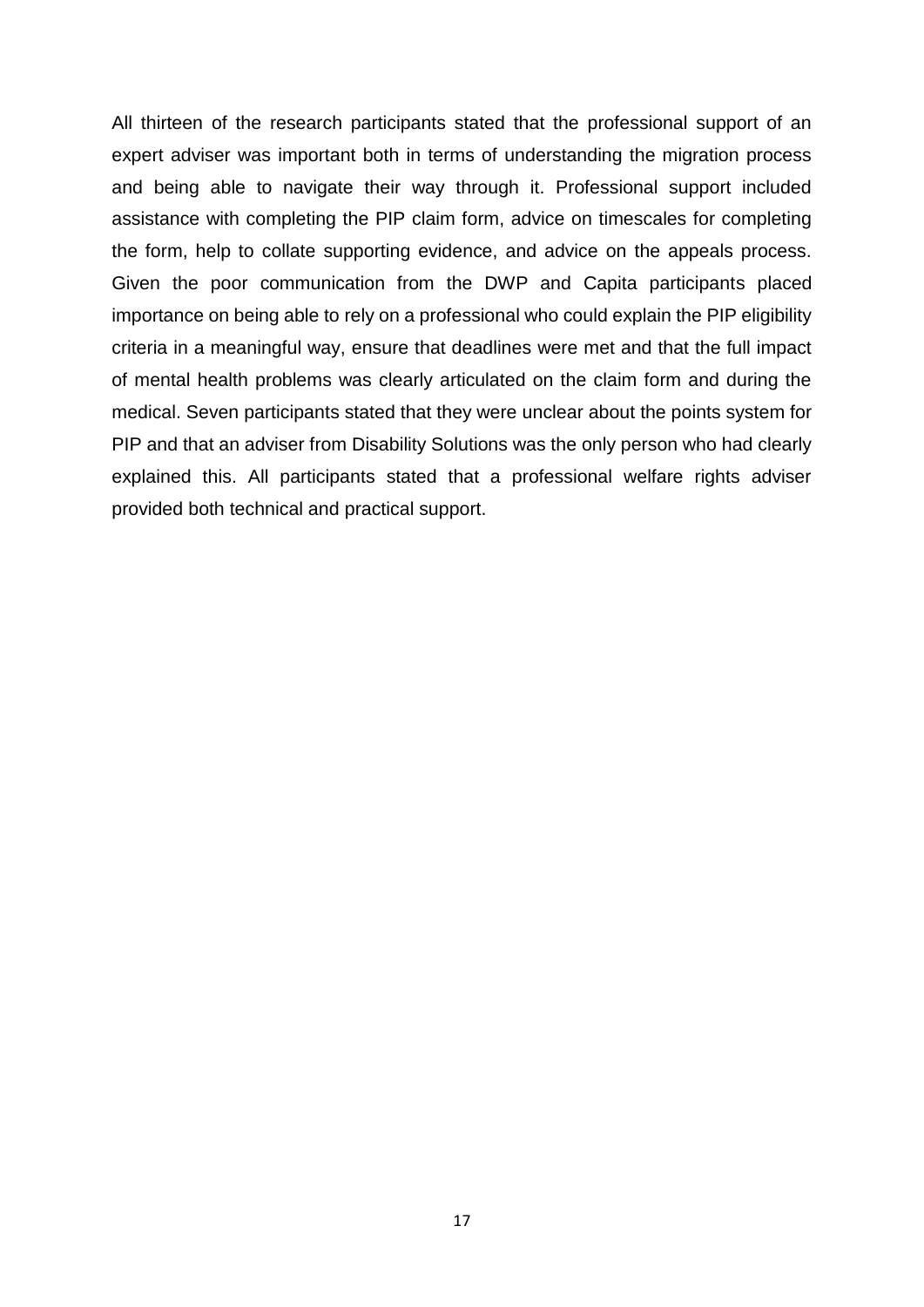All thirteen of the research participants stated that the professional support of an expert adviser was important both in terms of understanding the migration process and being able to navigate their way through it. Professional support included assistance with completing the PIP claim form, advice on timescales for completing the form, help to collate supporting evidence, and advice on the appeals process. Given the poor communication from the DWP and Capita participants placed importance on being able to rely on a professional who could explain the PIP eligibility criteria in a meaningful way, ensure that deadlines were met and that the full impact of mental health problems was clearly articulated on the claim form and during the medical. Seven participants stated that they were unclear about the points system for PIP and that an adviser from Disability Solutions was the only person who had clearly explained this. All participants stated that a professional welfare rights adviser provided both technical and practical support.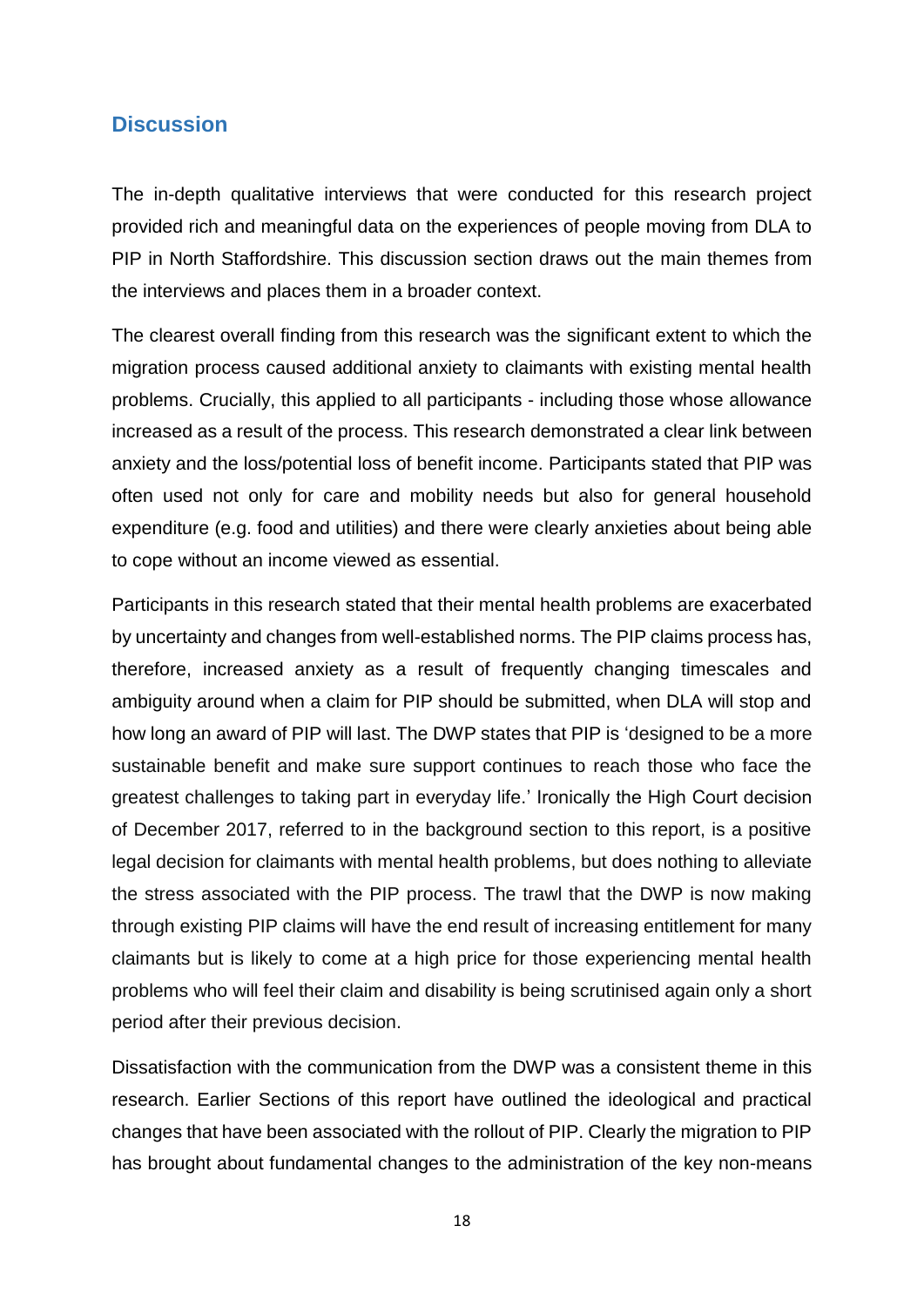## <span id="page-20-0"></span>**Discussion**

The in-depth qualitative interviews that were conducted for this research project provided rich and meaningful data on the experiences of people moving from DLA to PIP in North Staffordshire. This discussion section draws out the main themes from the interviews and places them in a broader context.

The clearest overall finding from this research was the significant extent to which the migration process caused additional anxiety to claimants with existing mental health problems. Crucially, this applied to all participants - including those whose allowance increased as a result of the process. This research demonstrated a clear link between anxiety and the loss/potential loss of benefit income. Participants stated that PIP was often used not only for care and mobility needs but also for general household expenditure (e.g. food and utilities) and there were clearly anxieties about being able to cope without an income viewed as essential.

Participants in this research stated that their mental health problems are exacerbated by uncertainty and changes from well-established norms. The PIP claims process has, therefore, increased anxiety as a result of frequently changing timescales and ambiguity around when a claim for PIP should be submitted, when DLA will stop and how long an award of PIP will last. The DWP states that PIP is 'designed to be a more sustainable benefit and make sure support continues to reach those who face the greatest challenges to taking part in everyday life.' Ironically the High Court decision of December 2017, referred to in the background section to this report, is a positive legal decision for claimants with mental health problems, but does nothing to alleviate the stress associated with the PIP process. The trawl that the DWP is now making through existing PIP claims will have the end result of increasing entitlement for many claimants but is likely to come at a high price for those experiencing mental health problems who will feel their claim and disability is being scrutinised again only a short period after their previous decision.

Dissatisfaction with the communication from the DWP was a consistent theme in this research. Earlier Sections of this report have outlined the ideological and practical changes that have been associated with the rollout of PIP. Clearly the migration to PIP has brought about fundamental changes to the administration of the key non-means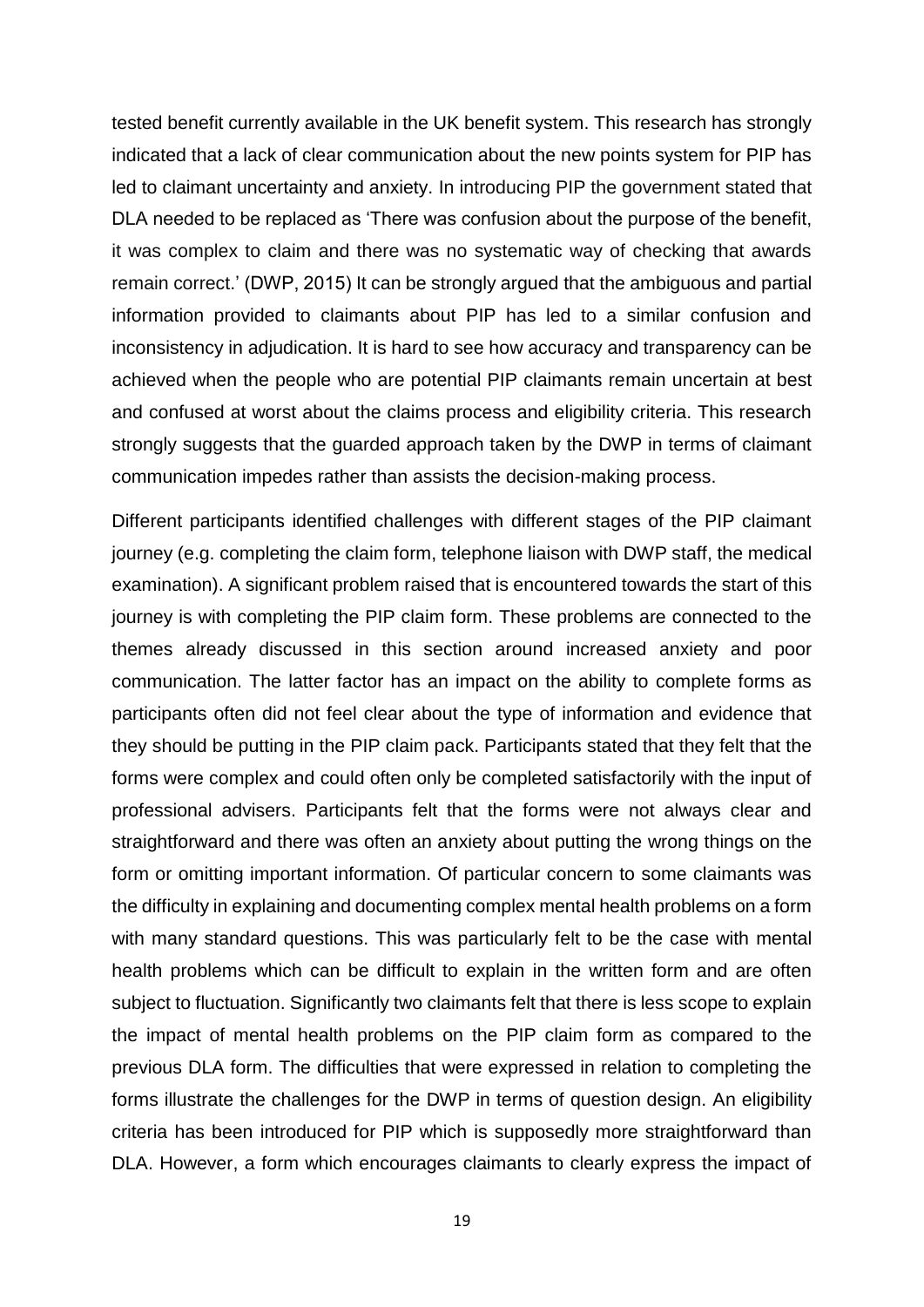tested benefit currently available in the UK benefit system. This research has strongly indicated that a lack of clear communication about the new points system for PIP has led to claimant uncertainty and anxiety. In introducing PIP the government stated that DLA needed to be replaced as 'There was confusion about the purpose of the benefit, it was complex to claim and there was no systematic way of checking that awards remain correct.' (DWP, 2015) It can be strongly argued that the ambiguous and partial information provided to claimants about PIP has led to a similar confusion and inconsistency in adjudication. It is hard to see how accuracy and transparency can be achieved when the people who are potential PIP claimants remain uncertain at best and confused at worst about the claims process and eligibility criteria. This research strongly suggests that the guarded approach taken by the DWP in terms of claimant communication impedes rather than assists the decision-making process.

Different participants identified challenges with different stages of the PIP claimant journey (e.g. completing the claim form, telephone liaison with DWP staff, the medical examination). A significant problem raised that is encountered towards the start of this journey is with completing the PIP claim form. These problems are connected to the themes already discussed in this section around increased anxiety and poor communication. The latter factor has an impact on the ability to complete forms as participants often did not feel clear about the type of information and evidence that they should be putting in the PIP claim pack. Participants stated that they felt that the forms were complex and could often only be completed satisfactorily with the input of professional advisers. Participants felt that the forms were not always clear and straightforward and there was often an anxiety about putting the wrong things on the form or omitting important information. Of particular concern to some claimants was the difficulty in explaining and documenting complex mental health problems on a form with many standard questions. This was particularly felt to be the case with mental health problems which can be difficult to explain in the written form and are often subject to fluctuation. Significantly two claimants felt that there is less scope to explain the impact of mental health problems on the PIP claim form as compared to the previous DLA form. The difficulties that were expressed in relation to completing the forms illustrate the challenges for the DWP in terms of question design. An eligibility criteria has been introduced for PIP which is supposedly more straightforward than DLA. However, a form which encourages claimants to clearly express the impact of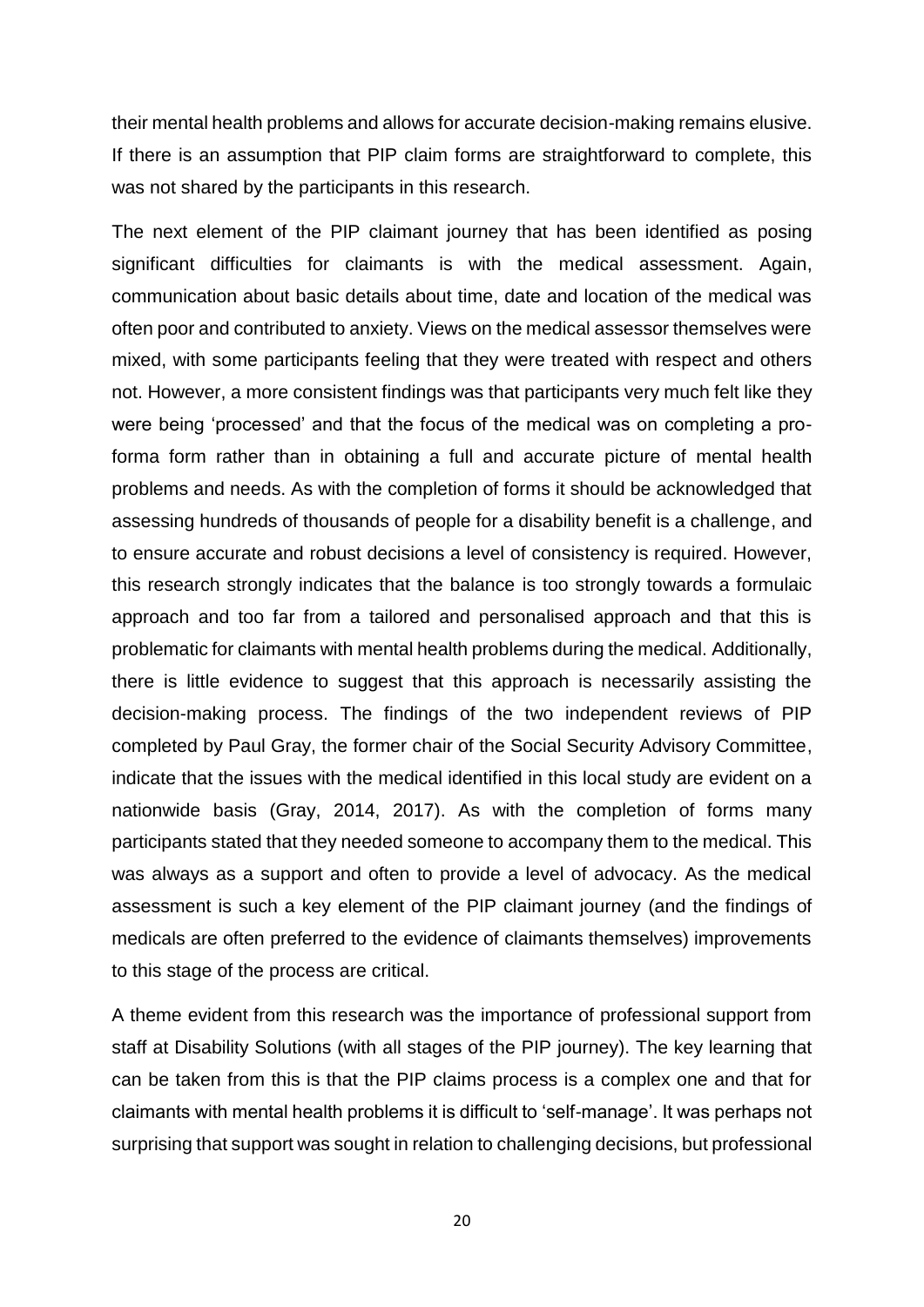their mental health problems and allows for accurate decision-making remains elusive. If there is an assumption that PIP claim forms are straightforward to complete, this was not shared by the participants in this research.

The next element of the PIP claimant journey that has been identified as posing significant difficulties for claimants is with the medical assessment. Again, communication about basic details about time, date and location of the medical was often poor and contributed to anxiety. Views on the medical assessor themselves were mixed, with some participants feeling that they were treated with respect and others not. However, a more consistent findings was that participants very much felt like they were being 'processed' and that the focus of the medical was on completing a proforma form rather than in obtaining a full and accurate picture of mental health problems and needs. As with the completion of forms it should be acknowledged that assessing hundreds of thousands of people for a disability benefit is a challenge, and to ensure accurate and robust decisions a level of consistency is required. However, this research strongly indicates that the balance is too strongly towards a formulaic approach and too far from a tailored and personalised approach and that this is problematic for claimants with mental health problems during the medical. Additionally, there is little evidence to suggest that this approach is necessarily assisting the decision-making process. The findings of the two independent reviews of PIP completed by Paul Gray, the former chair of the Social Security Advisory Committee, indicate that the issues with the medical identified in this local study are evident on a nationwide basis (Gray, 2014, 2017). As with the completion of forms many participants stated that they needed someone to accompany them to the medical. This was always as a support and often to provide a level of advocacy. As the medical assessment is such a key element of the PIP claimant journey (and the findings of medicals are often preferred to the evidence of claimants themselves) improvements to this stage of the process are critical.

A theme evident from this research was the importance of professional support from staff at Disability Solutions (with all stages of the PIP journey). The key learning that can be taken from this is that the PIP claims process is a complex one and that for claimants with mental health problems it is difficult to 'self-manage'. It was perhaps not surprising that support was sought in relation to challenging decisions, but professional

20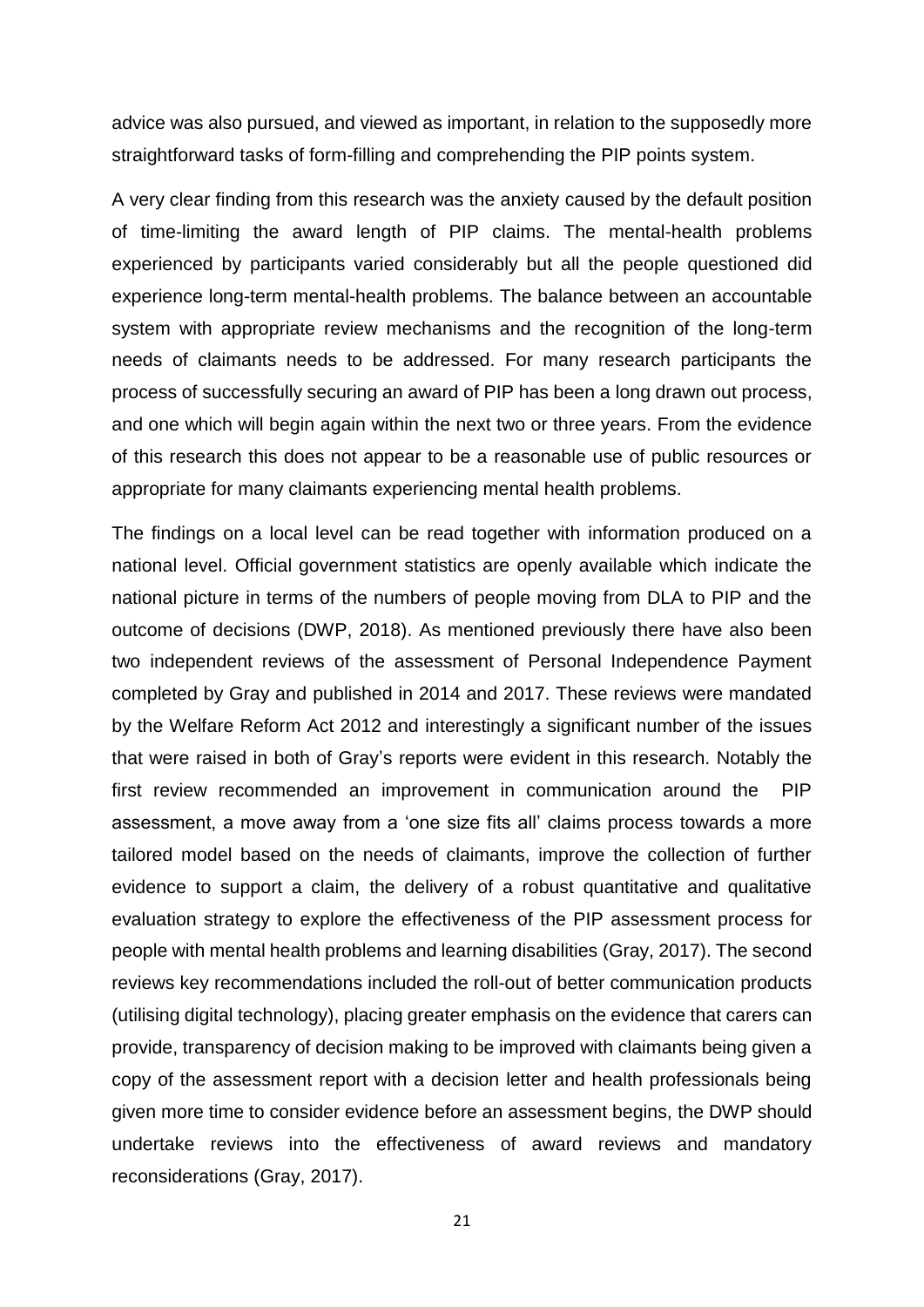advice was also pursued, and viewed as important, in relation to the supposedly more straightforward tasks of form-filling and comprehending the PIP points system.

A very clear finding from this research was the anxiety caused by the default position of time-limiting the award length of PIP claims. The mental-health problems experienced by participants varied considerably but all the people questioned did experience long-term mental-health problems. The balance between an accountable system with appropriate review mechanisms and the recognition of the long-term needs of claimants needs to be addressed. For many research participants the process of successfully securing an award of PIP has been a long drawn out process, and one which will begin again within the next two or three years. From the evidence of this research this does not appear to be a reasonable use of public resources or appropriate for many claimants experiencing mental health problems.

The findings on a local level can be read together with information produced on a national level. Official government statistics are openly available which indicate the national picture in terms of the numbers of people moving from DLA to PIP and the outcome of decisions (DWP, 2018). As mentioned previously there have also been two independent reviews of the assessment of Personal Independence Payment completed by Gray and published in 2014 and 2017. These reviews were mandated by the Welfare Reform Act 2012 and interestingly a significant number of the issues that were raised in both of Gray's reports were evident in this research. Notably the first review recommended an improvement in communication around the PIP assessment, a move away from a 'one size fits all' claims process towards a more tailored model based on the needs of claimants, improve the collection of further evidence to support a claim, the delivery of a robust quantitative and qualitative evaluation strategy to explore the effectiveness of the PIP assessment process for people with mental health problems and learning disabilities (Gray, 2017). The second reviews key recommendations included the roll-out of better communication products (utilising digital technology), placing greater emphasis on the evidence that carers can provide, transparency of decision making to be improved with claimants being given a copy of the assessment report with a decision letter and health professionals being given more time to consider evidence before an assessment begins, the DWP should undertake reviews into the effectiveness of award reviews and mandatory reconsiderations (Gray, 2017).

21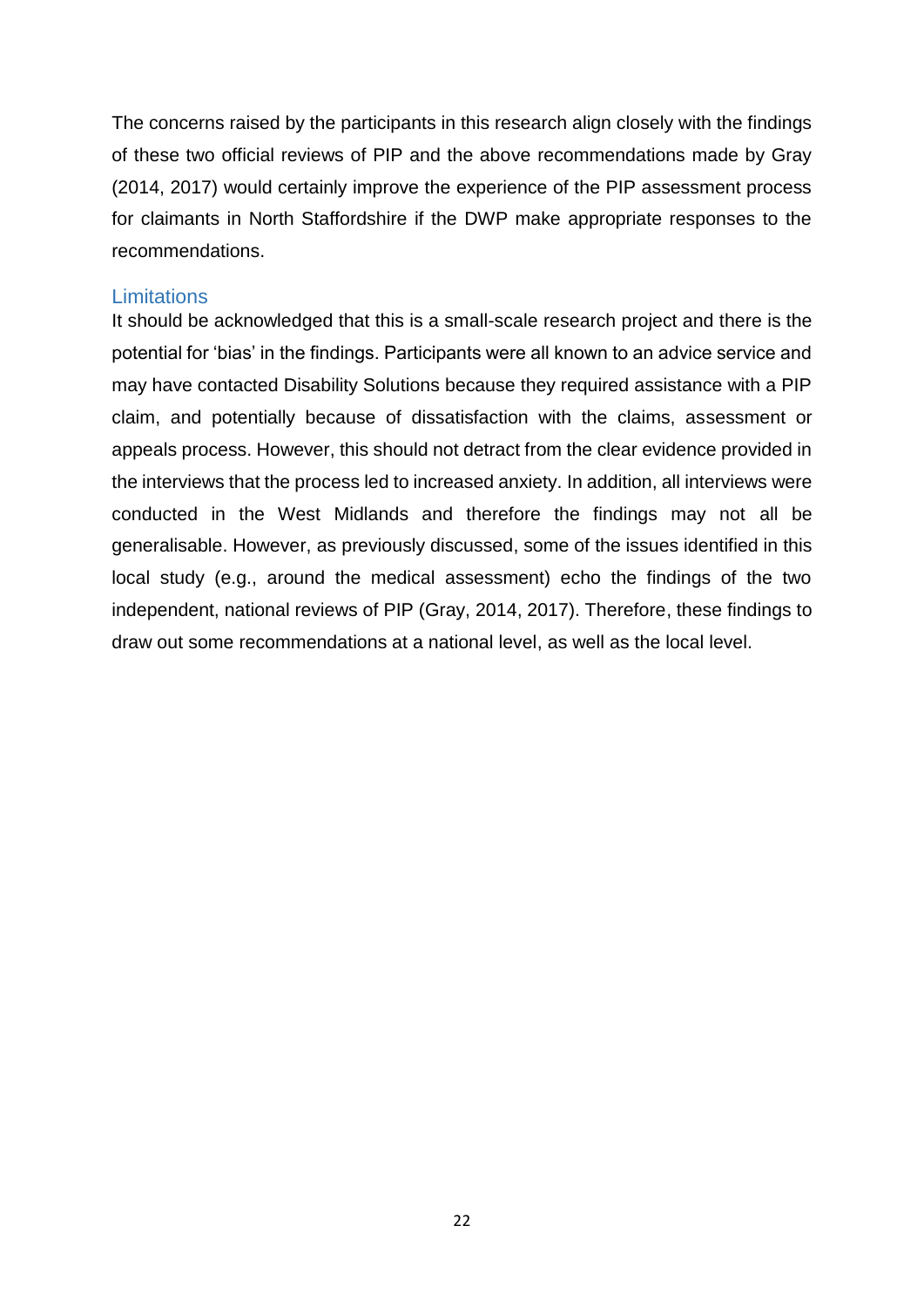The concerns raised by the participants in this research align closely with the findings of these two official reviews of PIP and the above recommendations made by Gray (2014, 2017) would certainly improve the experience of the PIP assessment process for claimants in North Staffordshire if the DWP make appropriate responses to the recommendations.

#### <span id="page-24-0"></span>**Limitations**

It should be acknowledged that this is a small-scale research project and there is the potential for 'bias' in the findings. Participants were all known to an advice service and may have contacted Disability Solutions because they required assistance with a PIP claim, and potentially because of dissatisfaction with the claims, assessment or appeals process. However, this should not detract from the clear evidence provided in the interviews that the process led to increased anxiety. In addition, all interviews were conducted in the West Midlands and therefore the findings may not all be generalisable. However, as previously discussed, some of the issues identified in this local study (e.g., around the medical assessment) echo the findings of the two independent, national reviews of PIP (Gray, 2014, 2017). Therefore, these findings to draw out some recommendations at a national level, as well as the local level.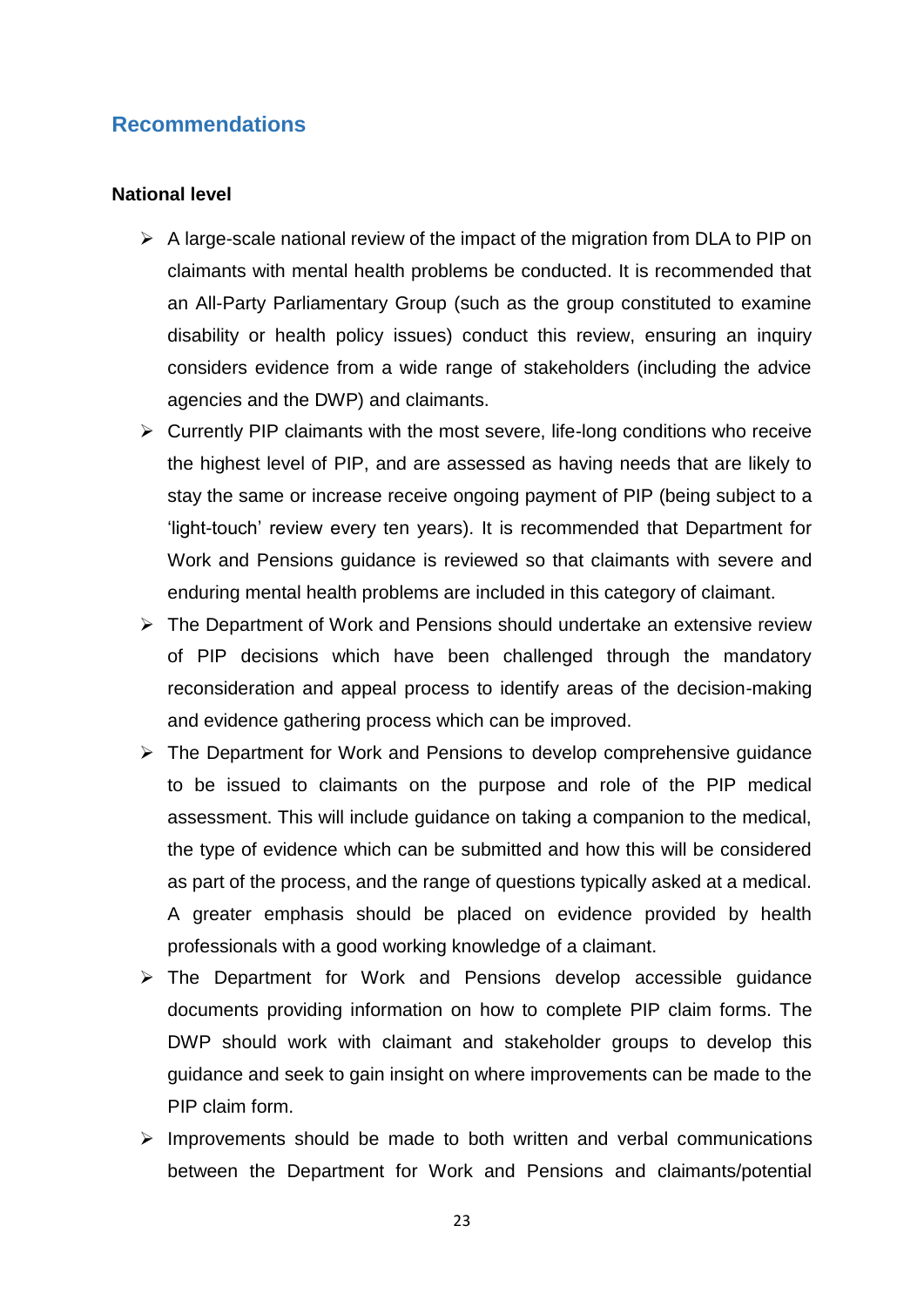## <span id="page-25-0"></span>**Recommendations**

#### **National level**

- $\triangleright$  A large-scale national review of the impact of the migration from DLA to PIP on claimants with mental health problems be conducted. It is recommended that an All-Party Parliamentary Group (such as the group constituted to examine disability or health policy issues) conduct this review, ensuring an inquiry considers evidence from a wide range of stakeholders (including the advice agencies and the DWP) and claimants.
- ➢ Currently PIP claimants with the most severe, life-long conditions who receive the highest level of PIP, and are assessed as having needs that are likely to stay the same or increase receive ongoing payment of PIP (being subject to a 'light-touch' review every ten years). It is recommended that Department for Work and Pensions guidance is reviewed so that claimants with severe and enduring mental health problems are included in this category of claimant.
- ➢ The Department of Work and Pensions should undertake an extensive review of PIP decisions which have been challenged through the mandatory reconsideration and appeal process to identify areas of the decision-making and evidence gathering process which can be improved.
- ➢ The Department for Work and Pensions to develop comprehensive guidance to be issued to claimants on the purpose and role of the PIP medical assessment. This will include guidance on taking a companion to the medical, the type of evidence which can be submitted and how this will be considered as part of the process, and the range of questions typically asked at a medical. A greater emphasis should be placed on evidence provided by health professionals with a good working knowledge of a claimant.
- ➢ The Department for Work and Pensions develop accessible guidance documents providing information on how to complete PIP claim forms. The DWP should work with claimant and stakeholder groups to develop this guidance and seek to gain insight on where improvements can be made to the PIP claim form.
- ➢ Improvements should be made to both written and verbal communications between the Department for Work and Pensions and claimants/potential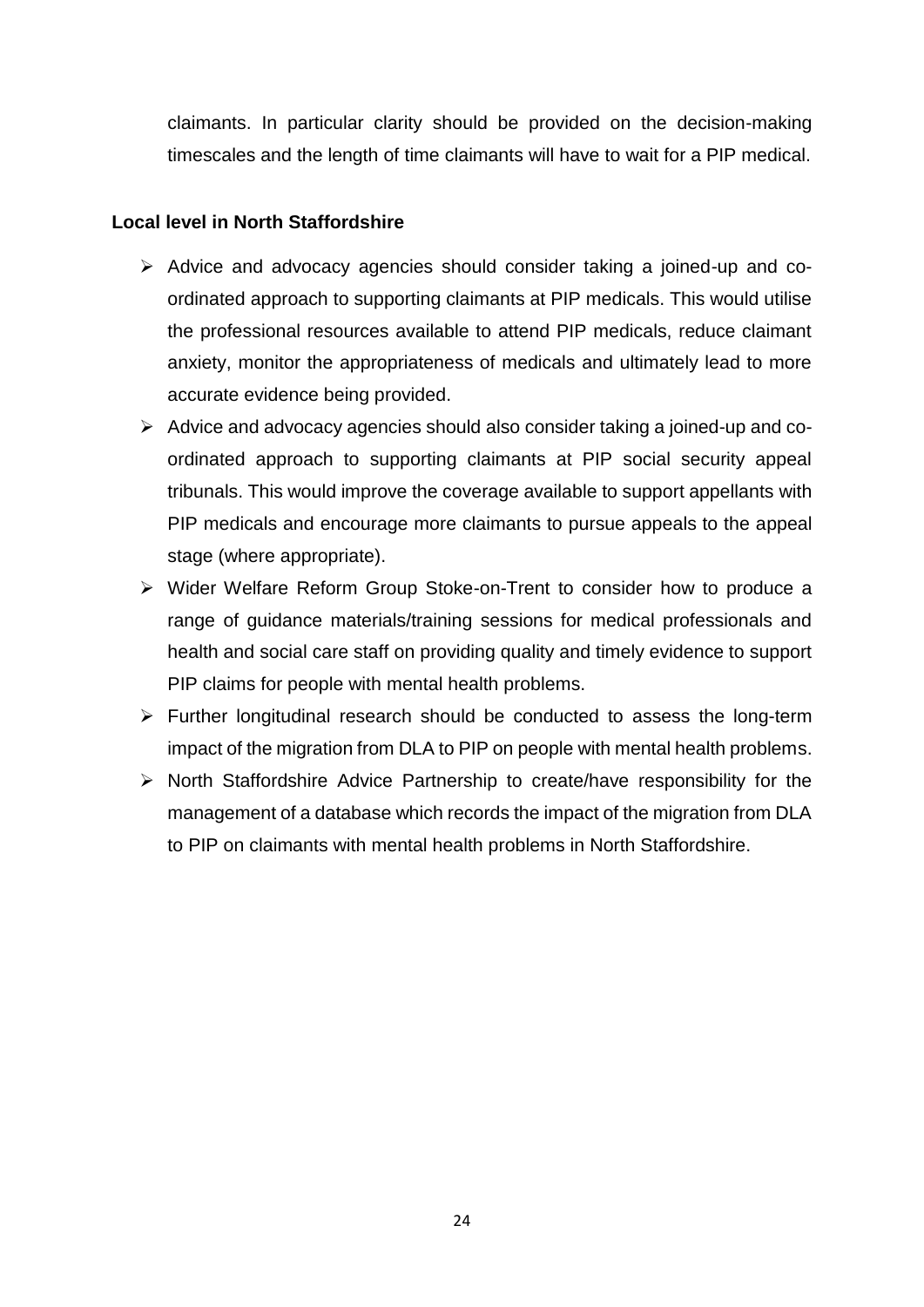claimants. In particular clarity should be provided on the decision-making timescales and the length of time claimants will have to wait for a PIP medical.

## **Local level in North Staffordshire**

- ➢ Advice and advocacy agencies should consider taking a joined-up and coordinated approach to supporting claimants at PIP medicals. This would utilise the professional resources available to attend PIP medicals, reduce claimant anxiety, monitor the appropriateness of medicals and ultimately lead to more accurate evidence being provided.
- ➢ Advice and advocacy agencies should also consider taking a joined-up and coordinated approach to supporting claimants at PIP social security appeal tribunals. This would improve the coverage available to support appellants with PIP medicals and encourage more claimants to pursue appeals to the appeal stage (where appropriate).
- ➢ Wider Welfare Reform Group Stoke-on-Trent to consider how to produce a range of guidance materials/training sessions for medical professionals and health and social care staff on providing quality and timely evidence to support PIP claims for people with mental health problems.
- ➢ Further longitudinal research should be conducted to assess the long-term impact of the migration from DLA to PIP on people with mental health problems.
- ➢ North Staffordshire Advice Partnership to create/have responsibility for the management of a database which records the impact of the migration from DLA to PIP on claimants with mental health problems in North Staffordshire.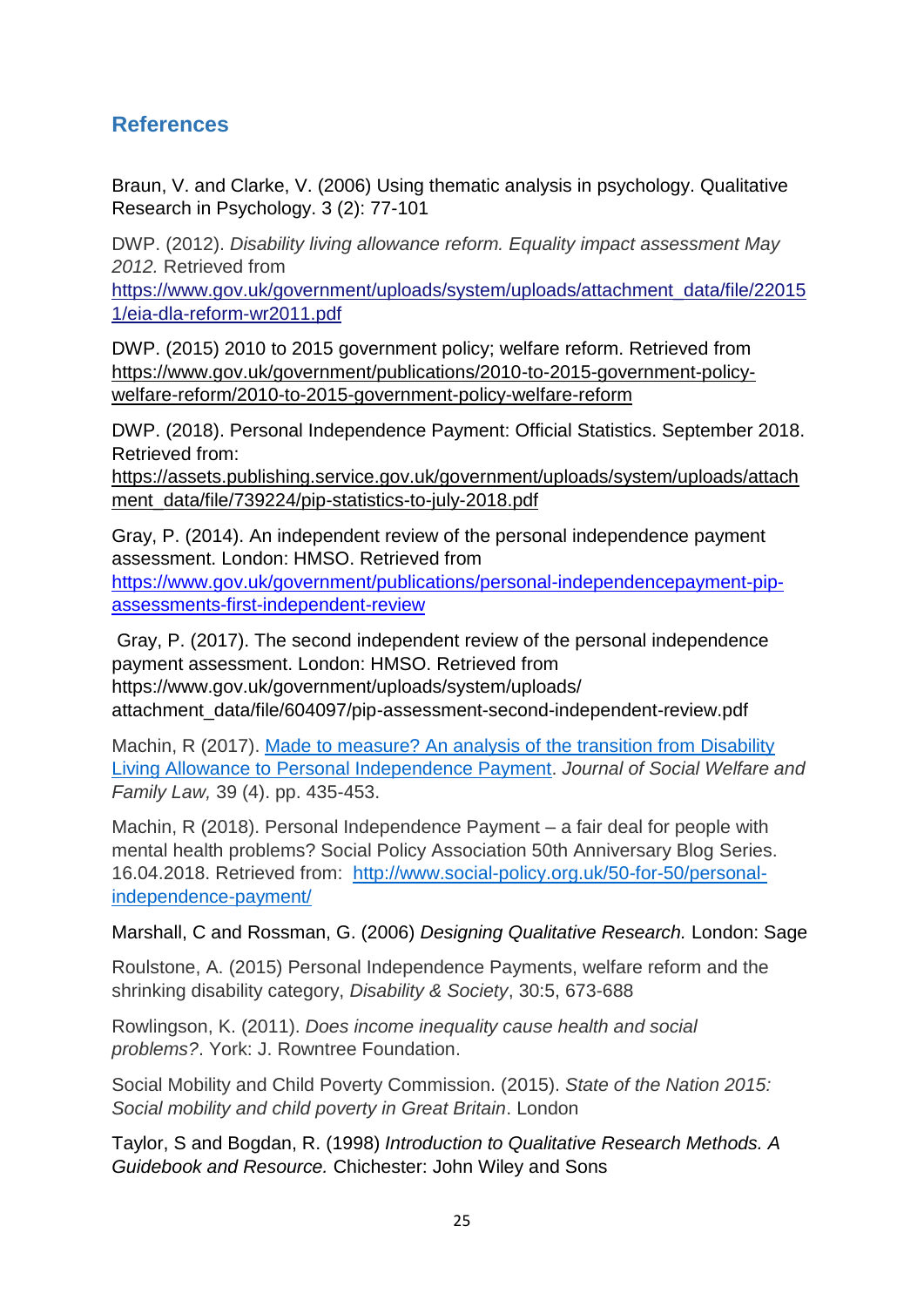# <span id="page-27-0"></span>**References**

Braun, V. and Clarke, V. (2006) Using thematic analysis in psychology. Qualitative Research in Psychology. 3 (2): 77-101

DWP. (2012). *Disability living allowance reform. Equality impact assessment May 2012.* Retrieved from

[https://www.gov.uk/government/uploads/system/uploads/attachment\\_data/file/22015](https://www.gov.uk/government/uploads/system/uploads/attachment_data/file/220151/eia-dla-reform-wr2011.pdf) [1/eia-dla-reform-wr2011.pdf](https://www.gov.uk/government/uploads/system/uploads/attachment_data/file/220151/eia-dla-reform-wr2011.pdf)

DWP. (2015) 2010 to 2015 government policy; welfare reform. Retrieved from [https://www.gov.uk/government/publications/2010-to-2015-government-policy](https://www.gov.uk/government/publications/2010-to-2015-government-policy-welfare-reform/2010-to-2015-government-policy-welfare-reform)[welfare-reform/2010-to-2015-government-policy-welfare-reform](https://www.gov.uk/government/publications/2010-to-2015-government-policy-welfare-reform/2010-to-2015-government-policy-welfare-reform)

DWP. (2018). Personal Independence Payment: Official Statistics. September 2018. Retrieved from:

[https://assets.publishing.service.gov.uk/government/uploads/system/uploads/attach](https://assets.publishing.service.gov.uk/government/uploads/system/uploads/attachment_data/file/739224/pip-statistics-to-july-2018.pdf) [ment\\_data/file/739224/pip-statistics-to-july-2018.pdf](https://assets.publishing.service.gov.uk/government/uploads/system/uploads/attachment_data/file/739224/pip-statistics-to-july-2018.pdf)

Gray, P. (2014). An independent review of the personal independence payment assessment. London: HMSO. Retrieved from [https://www.gov.uk/government/publications/personal-independencepayment-pip](https://www.gov.uk/government/publications/personal-independencepayment-pip-assessments-first-independent-review)[assessments-first-independent-review](https://www.gov.uk/government/publications/personal-independencepayment-pip-assessments-first-independent-review)

Gray, P. (2017). The second independent review of the personal independence payment assessment. London: HMSO. Retrieved from https://www.gov.uk/government/uploads/system/uploads/ attachment\_data/file/604097/pip-assessment-second-independent-review.pdf

Machin, R (2017). [Made to measure? An analysis of the transition from Disability](http://eprints.staffs.ac.uk/3953/)  Living Allowance to [Personal Independence Payment.](http://eprints.staffs.ac.uk/3953/) *Journal of Social Welfare and Family Law,* 39 (4). pp. 435-453.

Machin, R (2018). Personal Independence Payment – a fair deal for people with mental health problems? Social Policy Association 50th Anniversary Blog Series. 16.04.2018. Retrieved from: [http://www.social-policy.org.uk/50-for-50/personal](http://www.social-policy.org.uk/50-for-50/personal-independence-payment/)[independence-payment/](http://www.social-policy.org.uk/50-for-50/personal-independence-payment/)

Marshall, C and Rossman, G. (2006) *Designing Qualitative Research.* London: Sage

Roulstone, A. (2015) Personal Independence Payments, welfare reform and the shrinking disability category, *Disability & Society*, 30:5, 673-688

Rowlingson, K. (2011). *Does income inequality cause health and social problems?*. York: J. Rowntree Foundation.

Social Mobility and Child Poverty Commission. (2015). *State of the Nation 2015: Social mobility and child poverty in Great Britain*. London

Taylor, S and Bogdan, R. (1998) *Introduction to Qualitative Research Methods. A Guidebook and Resource.* Chichester: John Wiley and Sons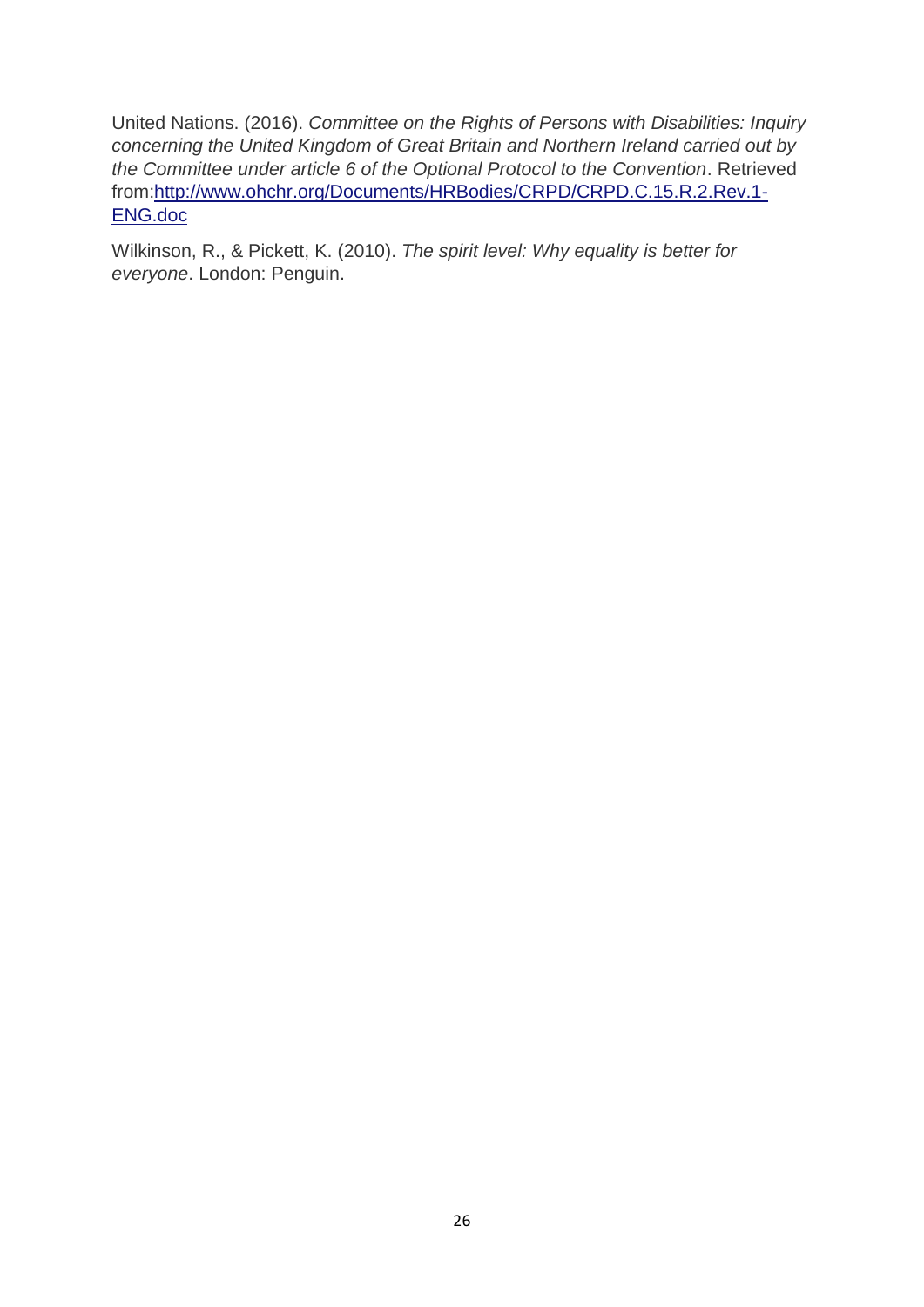United Nations. (2016). *Committee on the Rights of Persons with Disabilities: Inquiry concerning the United Kingdom of Great Britain and Northern Ireland carried out by the Committee under article 6 of the Optional Protocol to the Convention*. Retrieved from[:http://www.ohchr.org/Documents/HRBodies/CRPD/CRPD.C.15.R.2.Rev.1-](http://www.ohchr.org/Documents/HRBodies/CRPD/CRPD.C.15.R.2.Rev.1-ENG.doc) [ENG.doc](http://www.ohchr.org/Documents/HRBodies/CRPD/CRPD.C.15.R.2.Rev.1-ENG.doc)

Wilkinson, R., & Pickett, K. (2010). *The spirit level: Why equality is better for everyone*. London: Penguin.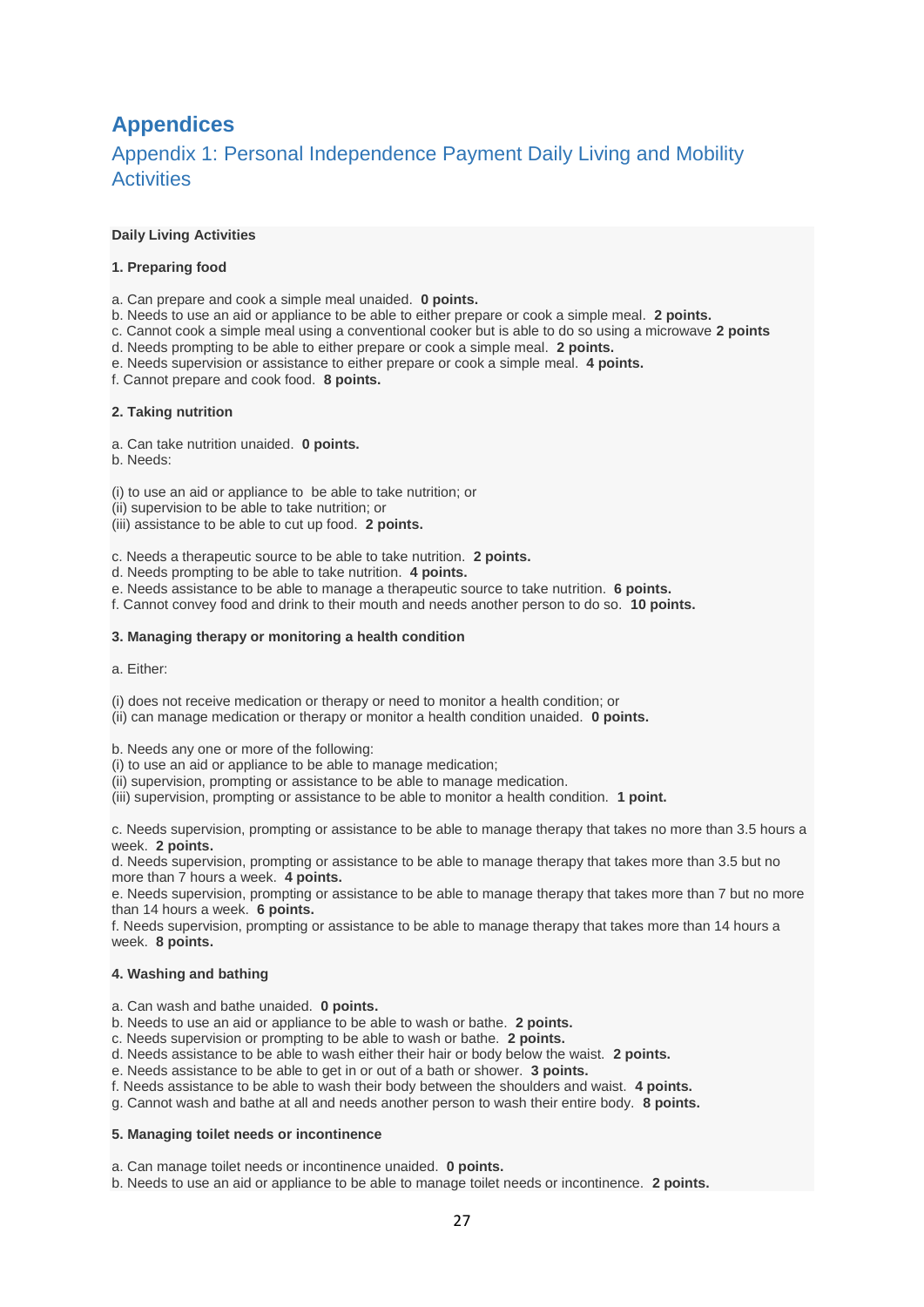# <span id="page-29-0"></span>**Appendices**

## <span id="page-29-1"></span>Appendix 1: Personal Independence Payment Daily Living and Mobility **Activities**

#### **Daily Living Activities**

#### **1. Preparing food**

a. Can prepare and cook a simple meal unaided. **0 points.**

- b. Needs to use an aid or appliance to be able to either prepare or cook a simple meal. **2 points.**
- c. Cannot cook a simple meal using a conventional cooker but is able to do so using a microwave **2 points**
- d. Needs prompting to be able to either prepare or cook a simple meal. **2 points.**
- e. Needs supervision or assistance to either prepare or cook a simple meal. **4 points.**
- f. Cannot prepare and cook food. **8 points.**

#### **2. Taking nutrition**

a. Can take nutrition unaided. **0 points.**

b. Needs:

(i) to use an aid or appliance to be able to take nutrition; or

(ii) supervision to be able to take nutrition; or

(iii) assistance to be able to cut up food. **2 points.**

c. Needs a therapeutic source to be able to take nutrition. **2 points.**

d. Needs prompting to be able to take nutrition. **4 points.**

- e. Needs assistance to be able to manage a therapeutic source to take nutrition. **6 points.**
- f. Cannot convey food and drink to their mouth and needs another person to do so. **10 points.**

#### **3. Managing therapy or monitoring a health condition**

a. Either:

(i) does not receive medication or therapy or need to monitor a health condition; or

(ii) can manage medication or therapy or monitor a health condition unaided. **0 points.**

b. Needs any one or more of the following:

(i) to use an aid or appliance to be able to manage medication;

(ii) supervision, prompting or assistance to be able to manage medication.

(iii) supervision, prompting or assistance to be able to monitor a health condition. **1 point.**

c. Needs supervision, prompting or assistance to be able to manage therapy that takes no more than 3.5 hours a week. **2 points.**

d. Needs supervision, prompting or assistance to be able to manage therapy that takes more than 3.5 but no more than 7 hours a week. **4 points.**

e. Needs supervision, prompting or assistance to be able to manage therapy that takes more than 7 but no more than 14 hours a week. **6 points.**

f. Needs supervision, prompting or assistance to be able to manage therapy that takes more than 14 hours a week. **8 points.**

#### **4. Washing and bathing**

- a. Can wash and bathe unaided. **0 points.**
- b. Needs to use an aid or appliance to be able to wash or bathe. **2 points.**
- c. Needs supervision or prompting to be able to wash or bathe. **2 points.**
- d. Needs assistance to be able to wash either their hair or body below the waist. **2 points.**
- e. Needs assistance to be able to get in or out of a bath or shower. **3 points.**
- f. Needs assistance to be able to wash their body between the shoulders and waist. **4 points.**
- g. Cannot wash and bathe at all and needs another person to wash their entire body. **8 points.**

#### **5. Managing toilet needs or incontinence**

a. Can manage toilet needs or incontinence unaided. **0 points.**

b. Needs to use an aid or appliance to be able to manage toilet needs or incontinence. **2 points.**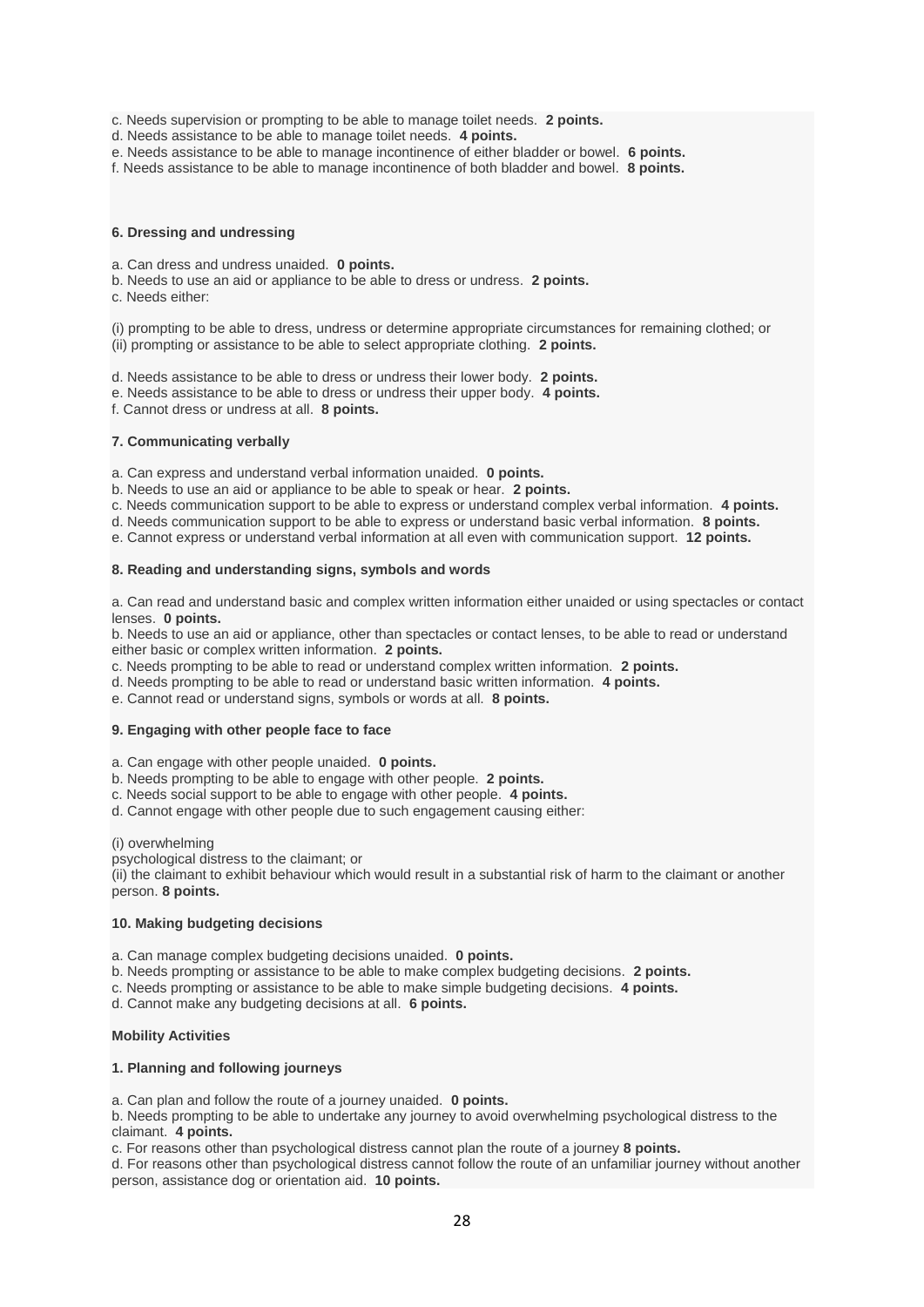c. Needs supervision or prompting to be able to manage toilet needs. **2 points.**

- d. Needs assistance to be able to manage toilet needs. **4 points.**
- e. Needs assistance to be able to manage incontinence of either bladder or bowel. **6 points.**

f. Needs assistance to be able to manage incontinence of both bladder and bowel. **8 points.**

#### **6. Dressing and undressing**

a. Can dress and undress unaided. **0 points.**

- b. Needs to use an aid or appliance to be able to dress or undress. **2 points.**
- c. Needs either:

(i) prompting to be able to dress, undress or determine appropriate circumstances for remaining clothed; or (ii) prompting or assistance to be able to select appropriate clothing. **2 points.**

d. Needs assistance to be able to dress or undress their lower body. **2 points.**

e. Needs assistance to be able to dress or undress their upper body. **4 points.**

f. Cannot dress or undress at all. **8 points.**

#### **7. Communicating verbally**

a. Can express and understand verbal information unaided. **0 points.**

b. Needs to use an aid or appliance to be able to speak or hear. **2 points.**

- c. Needs communication support to be able to express or understand complex verbal information. **4 points.**
- d. Needs communication support to be able to express or understand basic verbal information. **8 points.**
- e. Cannot express or understand verbal information at all even with communication support. **12 points.**

#### **8. Reading and understanding signs, symbols and words**

a. Can read and understand basic and complex written information either unaided or using spectacles or contact lenses. **0 points.**

b. Needs to use an aid or appliance, other than spectacles or contact lenses, to be able to read or understand either basic or complex written information. **2 points.**

c. Needs prompting to be able to read or understand complex written information. **2 points.**

- d. Needs prompting to be able to read or understand basic written information. **4 points.**
- e. Cannot read or understand signs, symbols or words at all. **8 points.**

#### **9. Engaging with other people face to face**

a. Can engage with other people unaided. **0 points.**

- b. Needs prompting to be able to engage with other people. **2 points.**
- c. Needs social support to be able to engage with other people. **4 points.**
- d. Cannot engage with other people due to such engagement causing either:

(i) overwhelming

psychological distress to the claimant; or

(ii) the claimant to exhibit behaviour which would result in a substantial risk of harm to the claimant or another person. **8 points.**

#### **10. Making budgeting decisions**

a. Can manage complex budgeting decisions unaided. **0 points.**

b. Needs prompting or assistance to be able to make complex budgeting decisions. **2 points.**

c. Needs prompting or assistance to be able to make simple budgeting decisions. **4 points.**

d. Cannot make any budgeting decisions at all. **6 points.**

#### **Mobility Activities**

#### **1. Planning and following journeys**

a. Can plan and follow the route of a journey unaided. **0 points.**

b. Needs prompting to be able to undertake any journey to avoid overwhelming psychological distress to the claimant. **4 points.**

c. For reasons other than psychological distress cannot plan the route of a journey **8 points.**

d. For reasons other than psychological distress cannot follow the route of an unfamiliar journey without another person, assistance dog or orientation aid. **10 points.**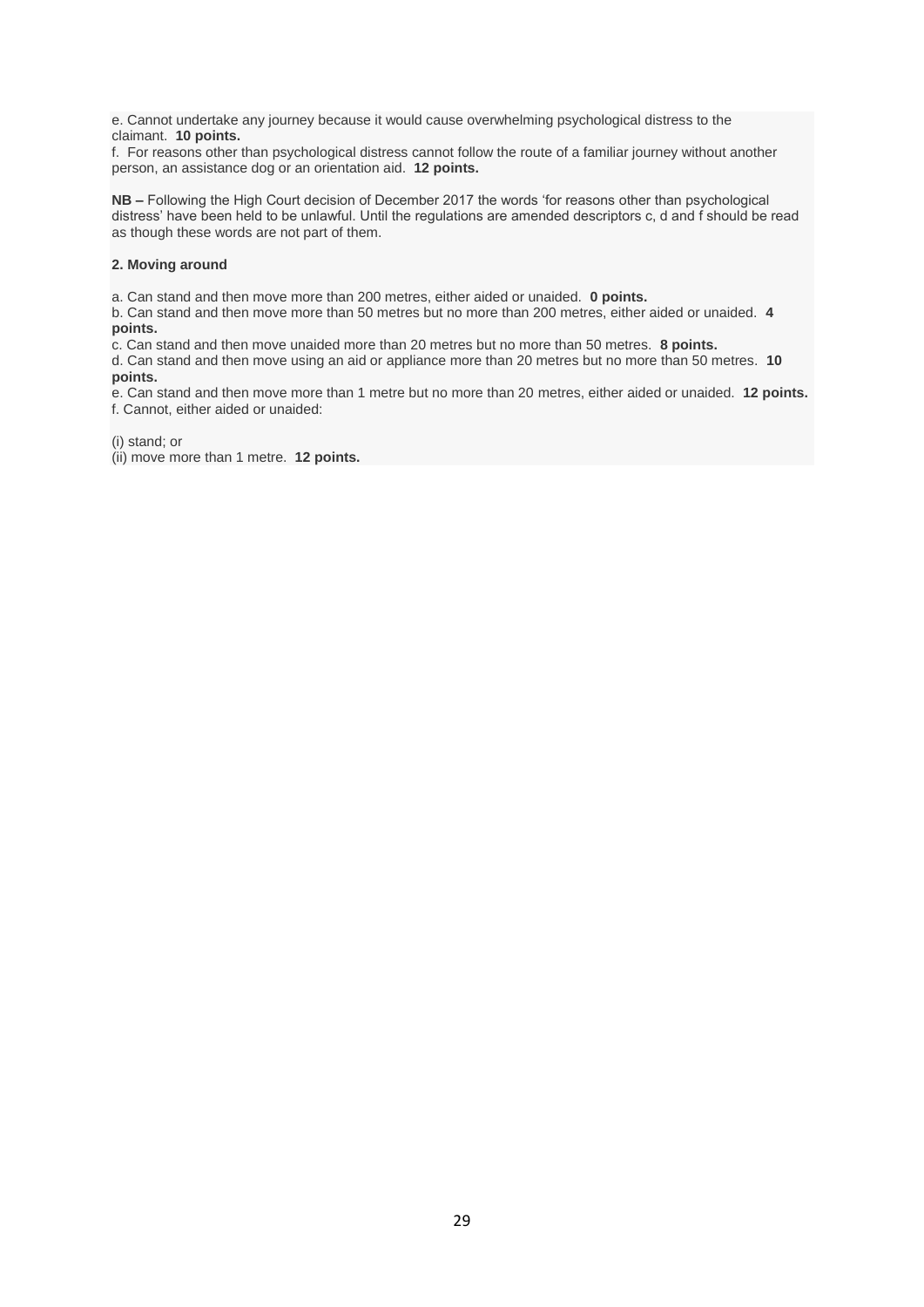e. Cannot undertake any journey because it would cause overwhelming psychological distress to the claimant. **10 points.**

f. For reasons other than psychological distress cannot follow the route of a familiar journey without another person, an assistance dog or an orientation aid. **12 points.**

**NB –** Following the High Court decision of December 2017 the words 'for reasons other than psychological distress' have been held to be unlawful. Until the regulations are amended descriptors c, d and f should be read as though these words are not part of them.

#### **2. Moving around**

a. Can stand and then move more than 200 metres, either aided or unaided. **0 points.**

b. Can stand and then move more than 50 metres but no more than 200 metres, either aided or unaided. **4 points.**

c. Can stand and then move unaided more than 20 metres but no more than 50 metres. **8 points.**

d. Can stand and then move using an aid or appliance more than 20 metres but no more than 50 metres. **10 points.**

e. Can stand and then move more than 1 metre but no more than 20 metres, either aided or unaided. **12 points.** f. Cannot, either aided or unaided:

(i) stand; or

(ii) move more than 1 metre. **12 points.**